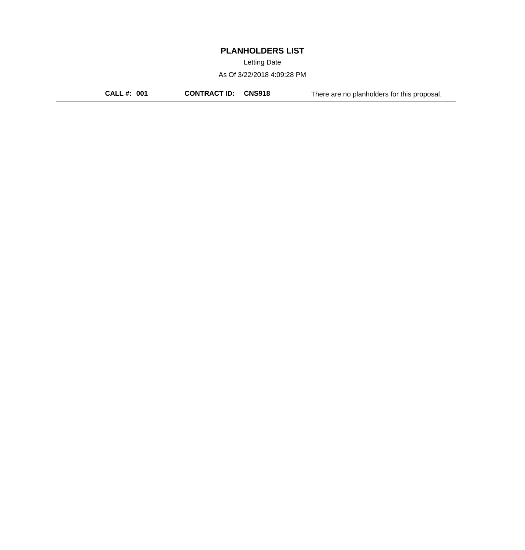Letting Date

As Of 3/22/2018 4:09:28 PM

**CALL #: 001 CONTRACT ID: CNS918** There are no planholders for this proposal.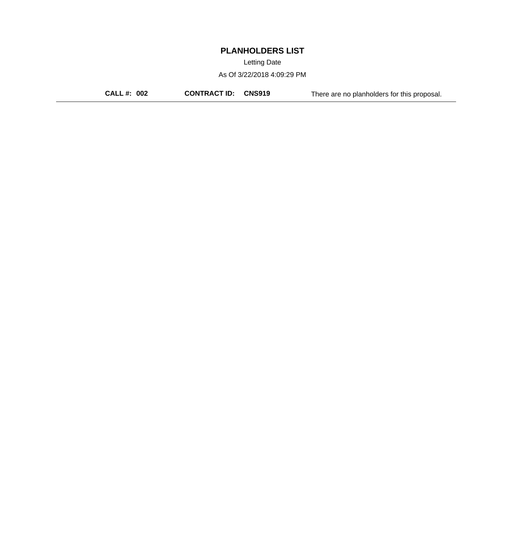Letting Date

As Of 3/22/2018 4:09:29 PM

**CALL #: 002 CONTRACT ID: CNS919** There are no planholders for this proposal.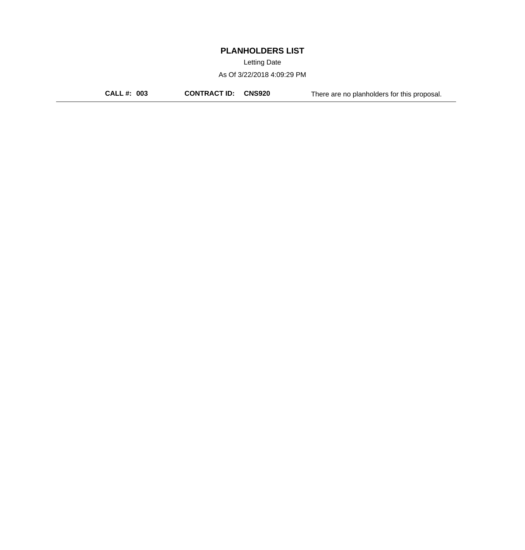Letting Date

As Of 3/22/2018 4:09:29 PM

**CALL #: 003 CONTRACT ID: CNS920** There are no planholders for this proposal.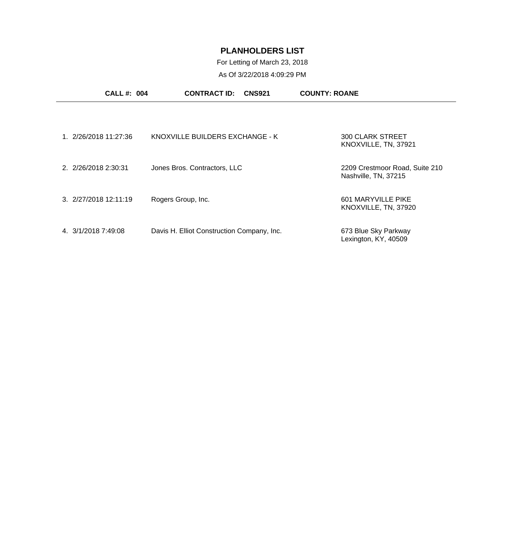For Letting of March 23, 2018

| <b>CALL #: 004</b>                          | <b>CONTRACT ID:</b><br><b>CNS921</b>       | <b>COUNTY: ROANE</b>                                   |
|---------------------------------------------|--------------------------------------------|--------------------------------------------------------|
|                                             |                                            |                                                        |
| 1. 2/26/2018 11:27:36                       | KNOXVILLE BUILDERS EXCHANGE - K            | 300 CLARK STREET<br>KNOXVILLE, TN, 37921               |
| 2. 2/26/2018 2:30:31                        | Jones Bros. Contractors, LLC               | 2209 Crestmoor Road, Suite 210<br>Nashville, TN, 37215 |
| $3. \ \frac{2}{27}{2018} \ \frac{12}{1119}$ | Rogers Group, Inc.                         | 601 MARYVILLE PIKE<br>KNOXVILLE, TN, 37920             |
| 4. 3/1/2018 7:49:08                         | Davis H. Elliot Construction Company, Inc. | 673 Blue Sky Parkway<br>Lexington, KY, 40509           |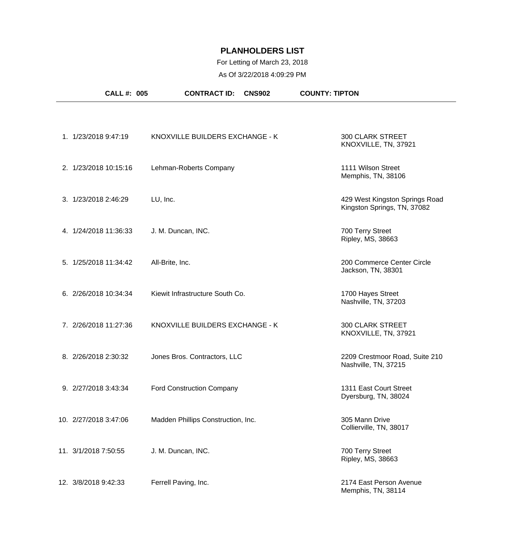### For Letting of March 23, 2018

|                       | <b>CALL #: 005</b> | <b>CONTRACT ID:</b>                | <b>CNS902</b> | <b>COUNTY: TIPTON</b>                                         |
|-----------------------|--------------------|------------------------------------|---------------|---------------------------------------------------------------|
|                       |                    |                                    |               |                                                               |
| 1. 1/23/2018 9:47:19  |                    | KNOXVILLE BUILDERS EXCHANGE - K    |               | 300 CLARK STREET<br>KNOXVILLE, TN, 37921                      |
| 2. 1/23/2018 10:15:16 |                    | Lehman-Roberts Company             |               | 1111 Wilson Street<br>Memphis, TN, 38106                      |
| 3. 1/23/2018 2:46:29  |                    | LU, Inc.                           |               | 429 West Kingston Springs Road<br>Kingston Springs, TN, 37082 |
| 4. 1/24/2018 11:36:33 |                    | J. M. Duncan, INC.                 |               | 700 Terry Street<br>Ripley, MS, 38663                         |
| 5. 1/25/2018 11:34:42 |                    | All-Brite, Inc.                    |               | 200 Commerce Center Circle<br>Jackson, TN, 38301              |
| 6. 2/26/2018 10:34:34 |                    | Kiewit Infrastructure South Co.    |               | 1700 Hayes Street<br>Nashville, TN, 37203                     |
| 7. 2/26/2018 11:27:36 |                    | KNOXVILLE BUILDERS EXCHANGE - K    |               | <b>300 CLARK STREET</b><br>KNOXVILLE, TN, 37921               |
| 8. 2/26/2018 2:30:32  |                    | Jones Bros. Contractors, LLC       |               | 2209 Crestmoor Road, Suite 210<br>Nashville, TN, 37215        |
| 9. 2/27/2018 3:43:34  |                    | <b>Ford Construction Company</b>   |               | 1311 East Court Street<br>Dyersburg, TN, 38024                |
| 10. 2/27/2018 3:47:06 |                    | Madden Phillips Construction, Inc. |               | 305 Mann Drive<br>Collierville, TN, 38017                     |
| 11. 3/1/2018 7:50:55  |                    | J. M. Duncan, INC.                 |               | 700 Terry Street<br>Ripley, MS, 38663                         |
| 12. 3/8/2018 9:42:33  |                    | Ferrell Paving, Inc.               |               | 2174 East Person Avenue<br>Memphis, TN, 38114                 |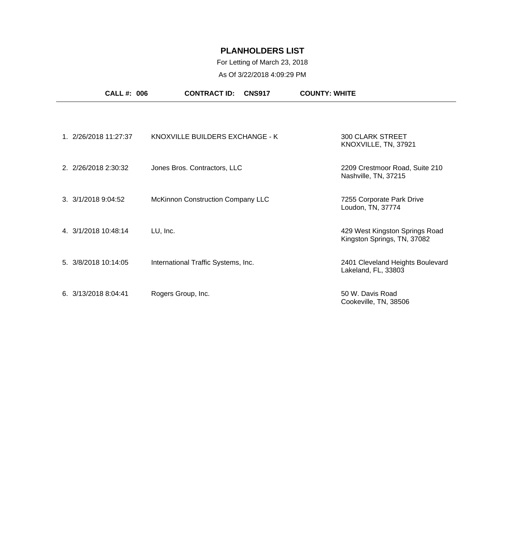# For Letting of March 23, 2018

| <b>CALL#: 006</b>     | <b>CONTRACT ID:</b><br><b>CNS917</b> | <b>COUNTY: WHITE</b>                                          |
|-----------------------|--------------------------------------|---------------------------------------------------------------|
|                       |                                      |                                                               |
| 1. 2/26/2018 11:27:37 | KNOXVILLE BUILDERS EXCHANGE - K      | <b>300 CLARK STREET</b><br>KNOXVILLE, TN, 37921               |
| 2. 2/26/2018 2:30:32  | Jones Bros. Contractors, LLC         | 2209 Crestmoor Road, Suite 210<br>Nashville, TN, 37215        |
| 3. 3/1/2018 9:04:52   | McKinnon Construction Company LLC    | 7255 Corporate Park Drive<br>Loudon, TN, 37774                |
| 4. 3/1/2018 10:48:14  | LU, Inc.                             | 429 West Kingston Springs Road<br>Kingston Springs, TN, 37082 |
| 5. 3/8/2018 10:14:05  | International Traffic Systems, Inc.  | 2401 Cleveland Heights Boulevard<br>Lakeland, FL, 33803       |
| 6. 3/13/2018 8:04:41  | Rogers Group, Inc.                   | 50 W. Davis Road<br>Cookeville, TN, 38506                     |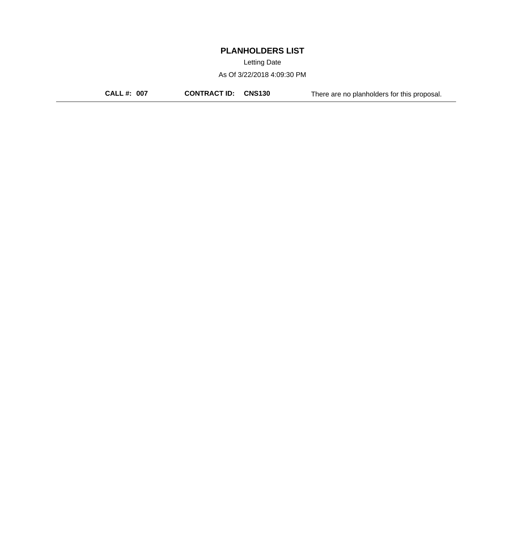Letting Date

As Of 3/22/2018 4:09:30 PM

**CALL #: 007 CONTRACT ID: CNS130** There are no planholders for this proposal.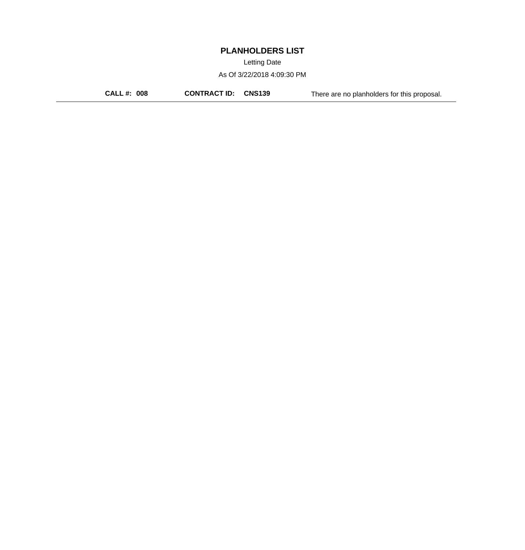Letting Date

As Of 3/22/2018 4:09:30 PM

**CALL #: 008 CONTRACT ID: CNS139** There are no planholders for this proposal.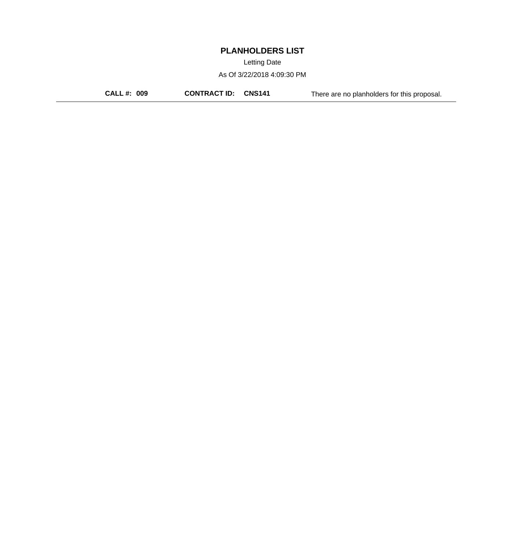Letting Date

As Of 3/22/2018 4:09:30 PM

**CALL #: 009 CONTRACT ID: CNS141** There are no planholders for this proposal.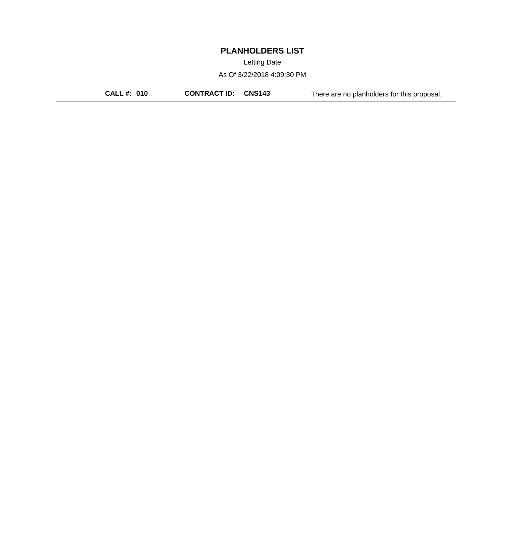Letting Date

As Of 3/22/2018 4:09:30 PM

**CALL #: 010 CONTRACT ID: CNS143** There are no planholders for this proposal.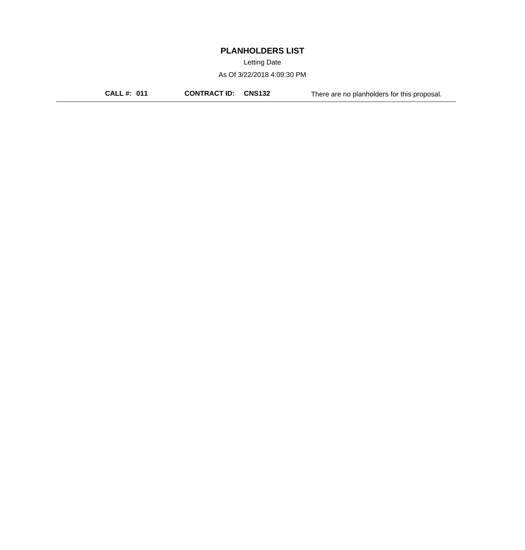Letting Date

As Of 3/22/2018 4:09:30 PM

**CALL #: 011 CONTRACT ID: CNS132** There are no planholders for this proposal.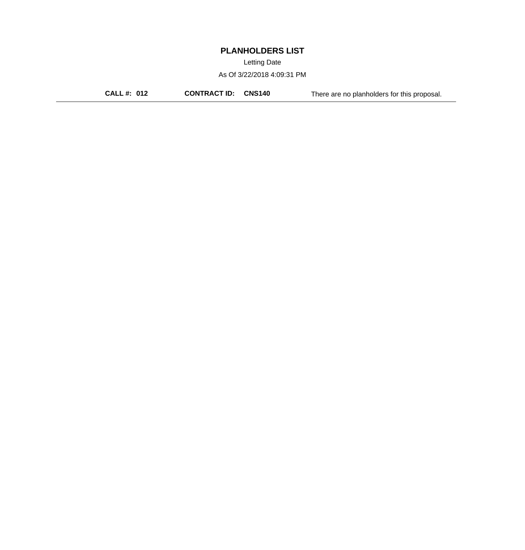Letting Date

As Of 3/22/2018 4:09:31 PM

**CALL #: 012 CONTRACT ID: CNS140** There are no planholders for this proposal.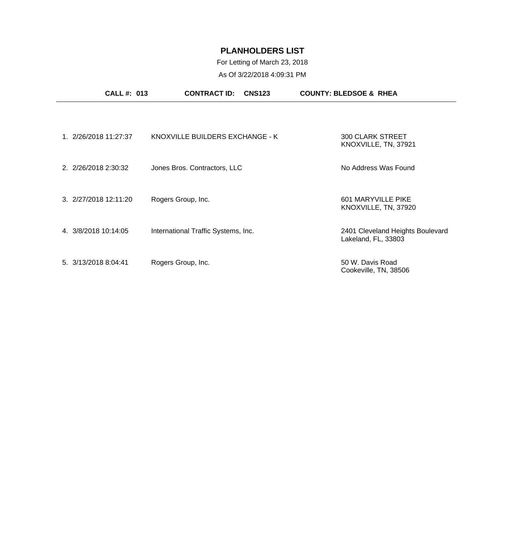#### For Letting of March 23, 2018 As Of 3/22/2018 4:09:31 PM

| <b>CALL#: 013</b>     | <b>CONTRACT ID:</b>                 | <b>CNS123</b> | <b>COUNTY: BLEDSOE &amp; RHEA</b>                       |
|-----------------------|-------------------------------------|---------------|---------------------------------------------------------|
|                       |                                     |               |                                                         |
| 1. 2/26/2018 11:27:37 | KNOXVILLE BUILDERS EXCHANGE - K     |               | <b>300 CLARK STREET</b><br>KNOXVILLE, TN, 37921         |
| 2. 2/26/2018 2:30:32  | Jones Bros. Contractors, LLC        |               | No Address Was Found                                    |
| 3. 2/27/2018 12:11:20 | Rogers Group, Inc.                  |               | 601 MARYVILLE PIKE<br>KNOXVILLE, TN, 37920              |
| 4. 3/8/2018 10:14:05  | International Traffic Systems, Inc. |               | 2401 Cleveland Heights Boulevard<br>Lakeland, FL, 33803 |
| 5. 3/13/2018 8:04:41  | Rogers Group, Inc.                  |               | 50 W. Davis Road<br>Cookeville, TN, 38506               |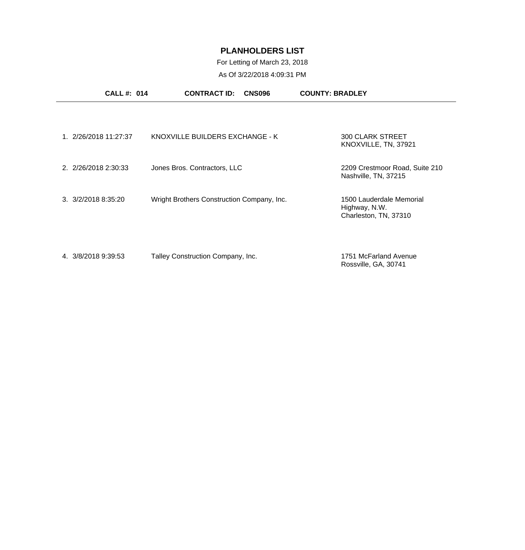## For Letting of March 23, 2018

|                              | <b>CALL#: 014</b>     | <b>CONTRACT ID:</b>                        | <b>CNS096</b> | <b>COUNTY: BRADLEY</b>                                             |  |
|------------------------------|-----------------------|--------------------------------------------|---------------|--------------------------------------------------------------------|--|
|                              |                       |                                            |               |                                                                    |  |
|                              | 1. 2/26/2018 11:27:37 | KNOXVILLE BUILDERS EXCHANGE - K            |               | <b>300 CLARK STREET</b><br>KNOXVILLE, TN, 37921                    |  |
|                              | 2. 2/26/2018 2:30:33  | Jones Bros. Contractors, LLC               |               | 2209 Crestmoor Road, Suite 210<br>Nashville, TN, 37215             |  |
| $3. \frac{3}{2}/20188:35:20$ |                       | Wright Brothers Construction Company, Inc. |               | 1500 Lauderdale Memorial<br>Highway, N.W.<br>Charleston, TN, 37310 |  |
| 4. 3/8/2018 9:39:53          |                       | Talley Construction Company, Inc.          |               | 1751 McFarland Avenue<br>Rossville, GA, 30741                      |  |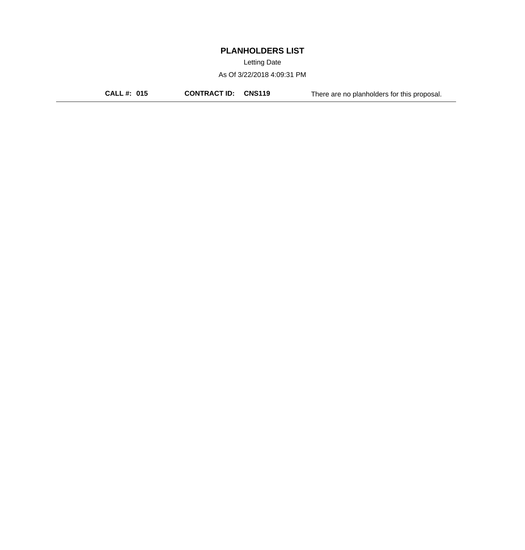Letting Date

As Of 3/22/2018 4:09:31 PM

**CALL #: 015 CONTRACT ID: CNS119** There are no planholders for this proposal.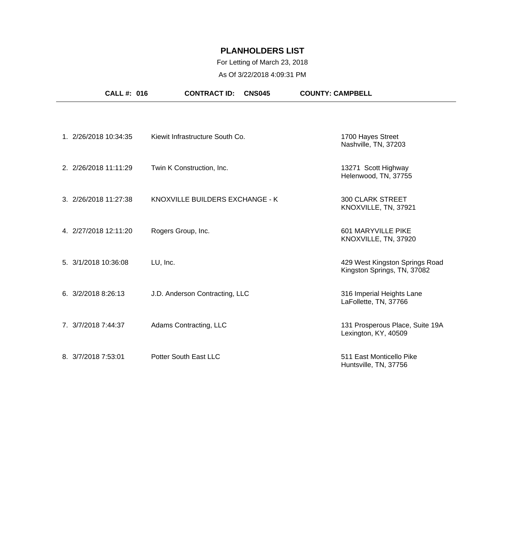### For Letting of March 23, 2018

|                       | <b>CALL #: 016</b> | <b>CONTRACT ID:</b>             | <b>CNS045</b> | <b>COUNTY: CAMPBELL</b>                                       |  |
|-----------------------|--------------------|---------------------------------|---------------|---------------------------------------------------------------|--|
|                       |                    |                                 |               |                                                               |  |
| 1. 2/26/2018 10:34:35 |                    | Kiewit Infrastructure South Co. |               | 1700 Hayes Street<br>Nashville, TN, 37203                     |  |
| 2. 2/26/2018 11:11:29 |                    | Twin K Construction, Inc.       |               | 13271 Scott Highway<br>Helenwood, TN, 37755                   |  |
| 3. 2/26/2018 11:27:38 |                    | KNOXVILLE BUILDERS EXCHANGE - K |               | <b>300 CLARK STREET</b><br>KNOXVILLE, TN, 37921               |  |
| 4. 2/27/2018 12:11:20 |                    | Rogers Group, Inc.              |               | 601 MARYVILLE PIKE<br>KNOXVILLE, TN, 37920                    |  |
| 5. 3/1/2018 10:36:08  |                    | LU, Inc.                        |               | 429 West Kingston Springs Road<br>Kingston Springs, TN, 37082 |  |
| 6. 3/2/2018 8:26:13   |                    | J.D. Anderson Contracting, LLC  |               | 316 Imperial Heights Lane<br>LaFollette, TN, 37766            |  |
| 7. 3/7/2018 7:44:37   |                    | Adams Contracting, LLC          |               | 131 Prosperous Place, Suite 19A<br>Lexington, KY, 40509       |  |
| 8. 3/7/2018 7:53:01   |                    | Potter South East LLC           |               | 511 East Monticello Pike<br>Huntsville, TN, 37756             |  |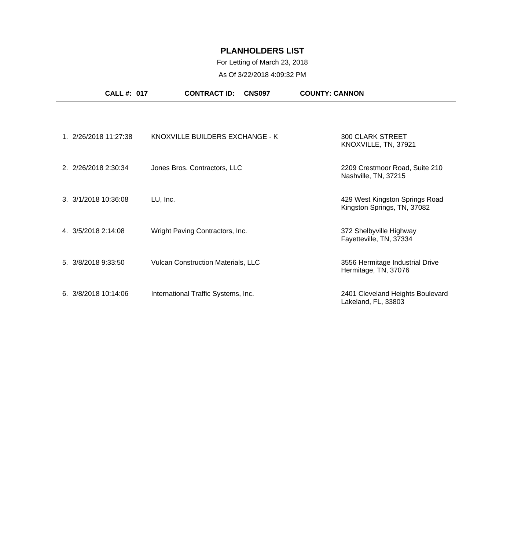# For Letting of March 23, 2018

| <b>CALL #: 017</b>    | <b>CONTRACT ID:</b><br><b>CNS097</b>      | <b>COUNTY: CANNON</b>                                         |
|-----------------------|-------------------------------------------|---------------------------------------------------------------|
|                       |                                           |                                                               |
| 1. 2/26/2018 11:27:38 | KNOXVILLE BUILDERS EXCHANGE - K           | <b>300 CLARK STREET</b><br>KNOXVILLE, TN, 37921               |
| 2. 2/26/2018 2:30:34  | Jones Bros. Contractors, LLC              | 2209 Crestmoor Road, Suite 210<br>Nashville, TN, 37215        |
| 3. 3/1/2018 10:36:08  | LU, Inc.                                  | 429 West Kingston Springs Road<br>Kingston Springs, TN, 37082 |
| 4. 3/5/2018 2:14:08   | Wright Paving Contractors, Inc.           | 372 Shelbyville Highway<br>Fayetteville, TN, 37334            |
| 5. 3/8/2018 9:33:50   | <b>Vulcan Construction Materials, LLC</b> | 3556 Hermitage Industrial Drive<br>Hermitage, TN, 37076       |
| 6.3/8/201810:14:06    | International Traffic Systems, Inc.       | 2401 Cleveland Heights Boulevard<br>Lakeland, FL, 33803       |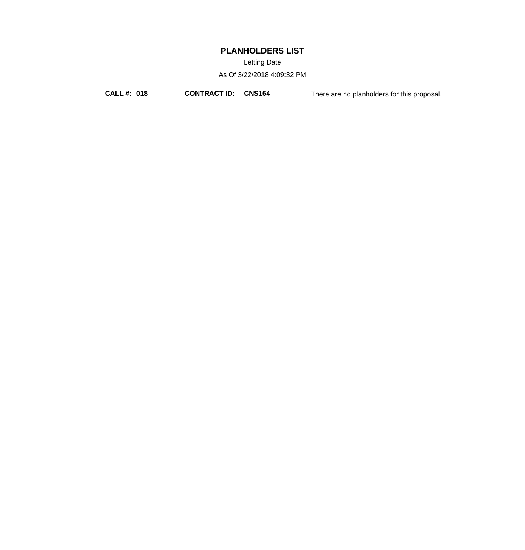Letting Date

As Of 3/22/2018 4:09:32 PM

**CALL #: 018 CONTRACT ID: CNS164** There are no planholders for this proposal.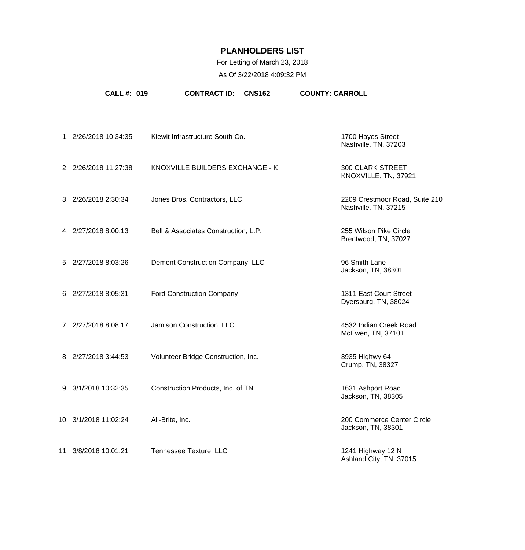## For Letting of March 23, 2018

| <b>CALL #: 019</b>    | <b>CONTRACT ID:</b><br><b>CNS162</b> | <b>COUNTY: CARROLL</b>                                 |
|-----------------------|--------------------------------------|--------------------------------------------------------|
|                       |                                      |                                                        |
| 1. 2/26/2018 10:34:35 | Kiewit Infrastructure South Co.      | 1700 Hayes Street<br>Nashville, TN, 37203              |
| 2. 2/26/2018 11:27:38 | KNOXVILLE BUILDERS EXCHANGE - K      | <b>300 CLARK STREET</b><br>KNOXVILLE, TN, 37921        |
| 3. 2/26/2018 2:30:34  | Jones Bros. Contractors, LLC         | 2209 Crestmoor Road, Suite 210<br>Nashville, TN, 37215 |
| 4. 2/27/2018 8:00:13  | Bell & Associates Construction, L.P. | 255 Wilson Pike Circle<br>Brentwood, TN, 37027         |
| 5. 2/27/2018 8:03:26  | Dement Construction Company, LLC     | 96 Smith Lane<br>Jackson, TN, 38301                    |
| 6. 2/27/2018 8:05:31  | <b>Ford Construction Company</b>     | 1311 East Court Street<br>Dyersburg, TN, 38024         |
| 7. 2/27/2018 8:08:17  | Jamison Construction, LLC            | 4532 Indian Creek Road<br>McEwen, TN, 37101            |
| 8. 2/27/2018 3:44:53  | Volunteer Bridge Construction, Inc.  | 3935 Highwy 64<br>Crump, TN, 38327                     |
| 9. 3/1/2018 10:32:35  | Construction Products, Inc. of TN    | 1631 Ashport Road<br>Jackson, TN, 38305                |
| 10. 3/1/2018 11:02:24 | All-Brite, Inc.                      | 200 Commerce Center Circle<br>Jackson, TN, 38301       |
| 11. 3/8/2018 10:01:21 | Tennessee Texture, LLC               | 1241 Highway 12 N<br>Ashland City, TN, 37015           |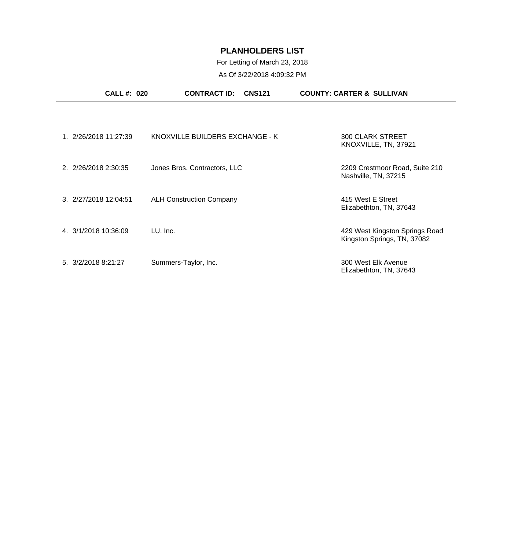#### For Letting of March 23, 2018 As Of 3/22/2018 4:09:32 PM

| <b>CALL #: 020</b>    | <b>CONTRACT ID:</b><br><b>CNS121</b> | <b>COUNTY: CARTER &amp; SULLIVAN</b>                          |
|-----------------------|--------------------------------------|---------------------------------------------------------------|
|                       |                                      |                                                               |
| 1. 2/26/2018 11:27:39 | KNOXVILLE BUILDERS EXCHANGE - K      | <b>300 CLARK STREET</b><br>KNOXVILLE, TN, 37921               |
| 2. 2/26/2018 2:30:35  | Jones Bros. Contractors, LLC         | 2209 Crestmoor Road, Suite 210<br>Nashville, TN, 37215        |
| 3. 2/27/2018 12:04:51 | <b>ALH Construction Company</b>      | 415 West E Street<br>Elizabethton, TN, 37643                  |
| 4. 3/1/2018 10:36:09  | LU, Inc.                             | 429 West Kingston Springs Road<br>Kingston Springs, TN, 37082 |
| 5. 3/2/2018 8:21:27   | Summers-Taylor, Inc.                 | 300 West Elk Avenue<br>Elizabethton, TN, 37643                |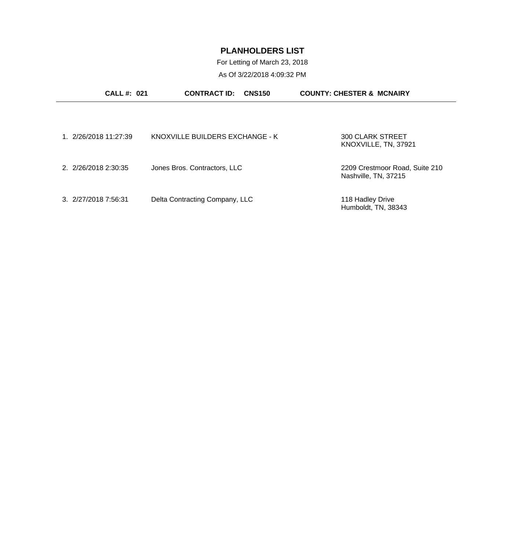For Letting of March 23, 2018 As Of 3/22/2018 4:09:32 PM

| <b>CALL#: 021</b>    | <b>CONTRACT ID:</b>             | <b>CNS150</b> | <b>COUNTY: CHESTER &amp; MCNAIRY</b>                   |
|----------------------|---------------------------------|---------------|--------------------------------------------------------|
|                      |                                 |               |                                                        |
| 1 2/26/2018 11:27:39 | KNOXVILLE BUILDERS EXCHANGE - K |               | 300 CLARK STREET<br>KNOXVILLE, TN, 37921               |
| 2. 2/26/2018 2:30:35 | Jones Bros. Contractors, LLC    |               | 2209 Crestmoor Road, Suite 210<br>Nashville, TN, 37215 |
| 3. 2/27/2018 7:56:31 | Delta Contracting Company, LLC  |               | 118 Hadley Drive<br>Humboldt, TN, 38343                |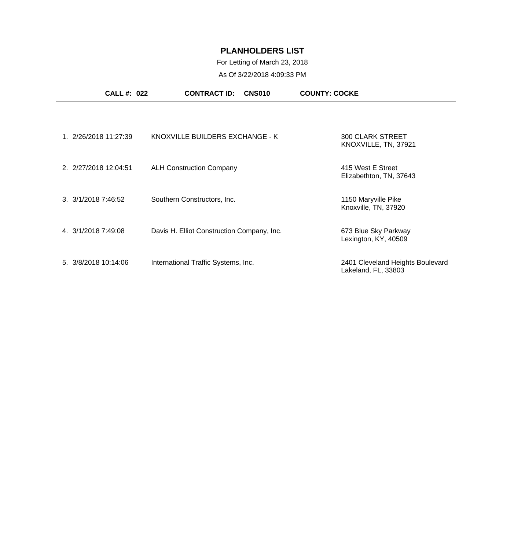### For Letting of March 23, 2018

| <b>CALL #: 022</b>    | <b>CONTRACT ID:</b><br>CNS010              | <b>COUNTY: COCKE</b>                                    |
|-----------------------|--------------------------------------------|---------------------------------------------------------|
|                       |                                            |                                                         |
| 1. 2/26/2018 11:27:39 | KNOXVILLE BUILDERS EXCHANGE - K            | <b>300 CLARK STREET</b><br>KNOXVILLE, TN, 37921         |
| 2. 2/27/2018 12:04:51 | <b>ALH Construction Company</b>            | 415 West E Street<br>Elizabethton, TN, 37643            |
| 3. 3/1/2018 7:46:52   | Southern Constructors, Inc.                | 1150 Maryville Pike<br>Knoxville, TN, 37920             |
| 4. 3/1/2018 7:49:08   | Davis H. Elliot Construction Company, Inc. | 673 Blue Sky Parkway<br>Lexington, KY, 40509            |
| 5. 3/8/2018 10:14:06  | International Traffic Systems, Inc.        | 2401 Cleveland Heights Boulevard<br>Lakeland, FL, 33803 |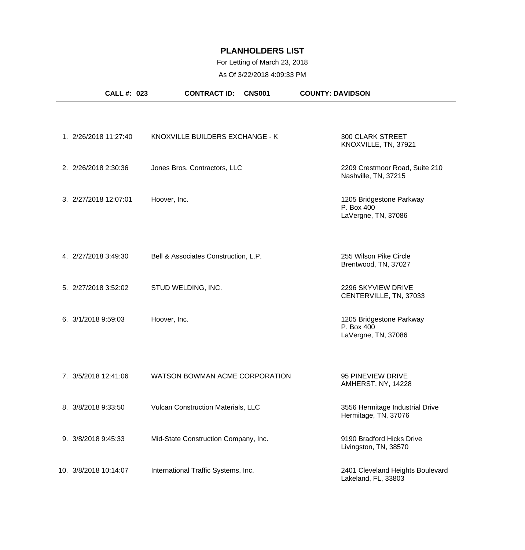## For Letting of March 23, 2018

| <b>CALL #: 023</b>    | <b>CONTRACT ID:</b>                  | <b>CNS001</b> | <b>COUNTY: DAVIDSON</b>                                       |
|-----------------------|--------------------------------------|---------------|---------------------------------------------------------------|
|                       |                                      |               |                                                               |
| 1. 2/26/2018 11:27:40 | KNOXVILLE BUILDERS EXCHANGE - K      |               | <b>300 CLARK STREET</b><br>KNOXVILLE, TN, 37921               |
| 2. 2/26/2018 2:30:36  | Jones Bros. Contractors, LLC         |               | 2209 Crestmoor Road, Suite 210<br>Nashville, TN, 37215        |
| 3. 2/27/2018 12:07:01 | Hoover, Inc.                         |               | 1205 Bridgestone Parkway<br>P. Box 400<br>LaVergne, TN, 37086 |
| 4. 2/27/2018 3:49:30  | Bell & Associates Construction, L.P. |               | 255 Wilson Pike Circle<br>Brentwood, TN, 37027                |
| 5. 2/27/2018 3:52:02  | STUD WELDING, INC.                   |               | 2296 SKYVIEW DRIVE<br>CENTERVILLE, TN, 37033                  |
| 6. 3/1/2018 9:59:03   | Hoover, Inc.                         |               | 1205 Bridgestone Parkway<br>P. Box 400<br>LaVergne, TN, 37086 |
|                       |                                      |               |                                                               |
| 7. 3/5/2018 12:41:06  | WATSON BOWMAN ACME CORPORATION       |               | 95 PINEVIEW DRIVE<br>AMHERST, NY, 14228                       |
| 8. 3/8/2018 9:33:50   | Vulcan Construction Materials, LLC   |               | 3556 Hermitage Industrial Drive<br>Hermitage, TN, 37076       |
| 9. 3/8/2018 9:45:33   | Mid-State Construction Company, Inc. |               | 9190 Bradford Hicks Drive<br>Livingston, TN, 38570            |
| 10. 3/8/2018 10:14:07 | International Traffic Systems, Inc.  |               | 2401 Cleveland Heights Boulevard<br>Lakeland, FL, 33803       |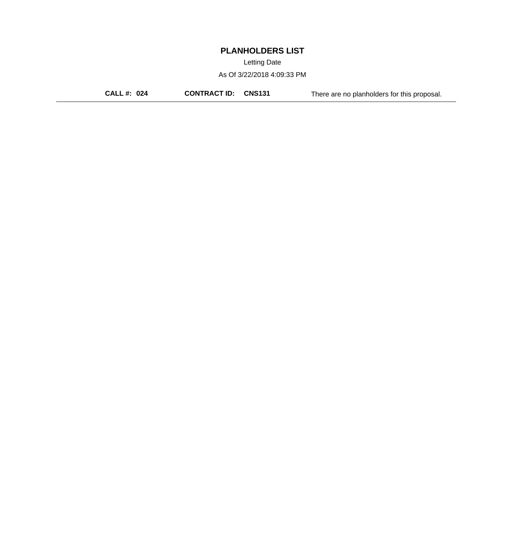Letting Date

As Of 3/22/2018 4:09:33 PM

**CALL #: 024 CONTRACT ID: CNS131** There are no planholders for this proposal.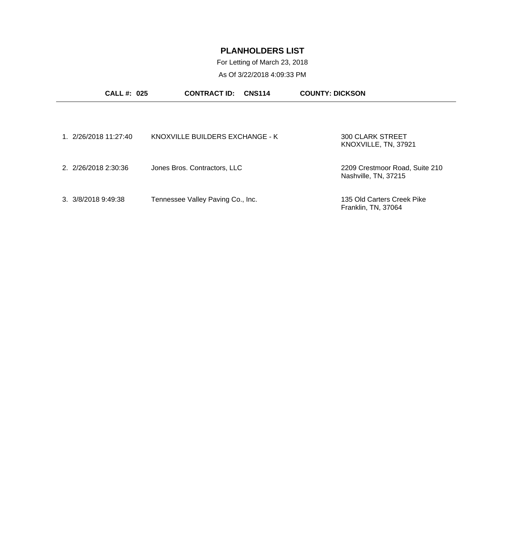For Letting of March 23, 2018

| <b>CALL #: 025</b>           | <b>CONTRACT ID:</b><br><b>CNS114</b> | <b>COUNTY: DICKSON</b>                                 |
|------------------------------|--------------------------------------|--------------------------------------------------------|
|                              |                                      |                                                        |
| 1. 2/26/2018 11:27:40        | KNOXVILLE BUILDERS EXCHANGE - K      | 300 CLARK STREET<br>KNOXVILLE, TN, 37921               |
| 2. 2/26/2018 2:30:36         | Jones Bros. Contractors, LLC         | 2209 Crestmoor Road, Suite 210<br>Nashville, TN, 37215 |
| $3. \frac{3}{8}/20189:49:38$ | Tennessee Valley Paving Co., Inc.    | 135 Old Carters Creek Pike<br>Franklin, TN, 37064      |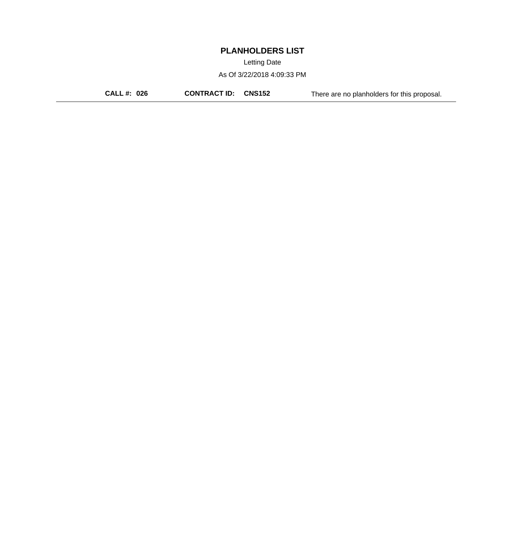Letting Date

As Of 3/22/2018 4:09:33 PM

**CALL #: 026 CONTRACT ID: CNS152** There are no planholders for this proposal.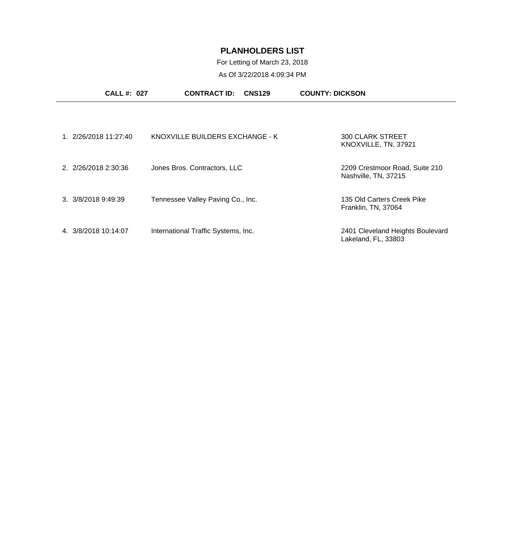# For Letting of March 23, 2018

| <b>CALL#: 027</b>            | <b>CONTRACT ID:</b>                 | <b>CNS129</b> | <b>COUNTY: DICKSON</b>                                  |
|------------------------------|-------------------------------------|---------------|---------------------------------------------------------|
|                              |                                     |               |                                                         |
| 1. 2/26/2018 11:27:40        | KNOXVILLE BUILDERS EXCHANGE - K     |               | <b>300 CLARK STREET</b><br>KNOXVILLE, TN, 37921         |
| 2. 2/26/2018 2:30:36         | Jones Bros. Contractors, LLC        |               | 2209 Crestmoor Road, Suite 210<br>Nashville, TN, 37215  |
| $3. \frac{3}{8}/20189:49:39$ | Tennessee Valley Paving Co., Inc.   |               | 135 Old Carters Creek Pike<br>Franklin, TN, 37064       |
| 4. 3/8/2018 10:14:07         | International Traffic Systems, Inc. |               | 2401 Cleveland Heights Boulevard<br>Lakeland, FL, 33803 |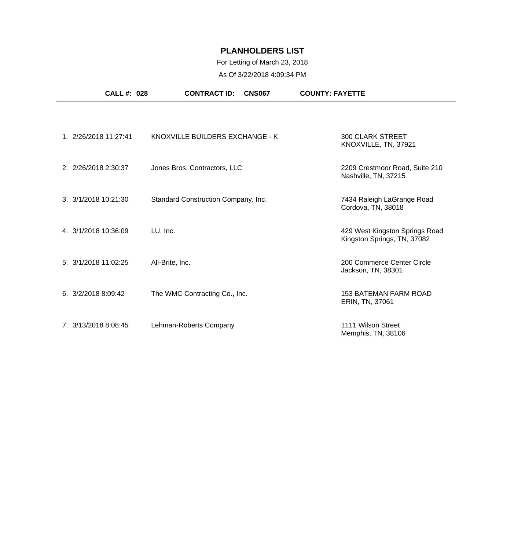## For Letting of March 23, 2018

|                      | <b>CALL #: 028</b>    | <b>CONTRACT ID:</b>                 | <b>CNS067</b> | <b>COUNTY: FAYETTE</b>                                        |
|----------------------|-----------------------|-------------------------------------|---------------|---------------------------------------------------------------|
|                      |                       |                                     |               |                                                               |
|                      | 1. 2/26/2018 11:27:41 | KNOXVILLE BUILDERS EXCHANGE - K     |               | <b>300 CLARK STREET</b><br>KNOXVILLE, TN, 37921               |
| 2. 2/26/2018 2:30:37 |                       | Jones Bros. Contractors, LLC        |               | 2209 Crestmoor Road, Suite 210<br>Nashville, TN, 37215        |
| 3. 3/1/2018 10:21:30 |                       | Standard Construction Company, Inc. |               | 7434 Raleigh LaGrange Road<br>Cordova, TN, 38018              |
| 4. 3/1/2018 10:36:09 |                       | LU, Inc.                            |               | 429 West Kingston Springs Road<br>Kingston Springs, TN, 37082 |
| 5. 3/1/2018 11:02:25 |                       | All-Brite, Inc.                     |               | 200 Commerce Center Circle<br>Jackson, TN, 38301              |
| 6. 3/2/2018 8:09:42  |                       | The WMC Contracting Co., Inc.       |               | <b>153 BATEMAN FARM ROAD</b><br>ERIN, TN, 37061               |
| 7. 3/13/2018 8:08:45 |                       | Lehman-Roberts Company              |               | 1111 Wilson Street<br>Memphis, TN, 38106                      |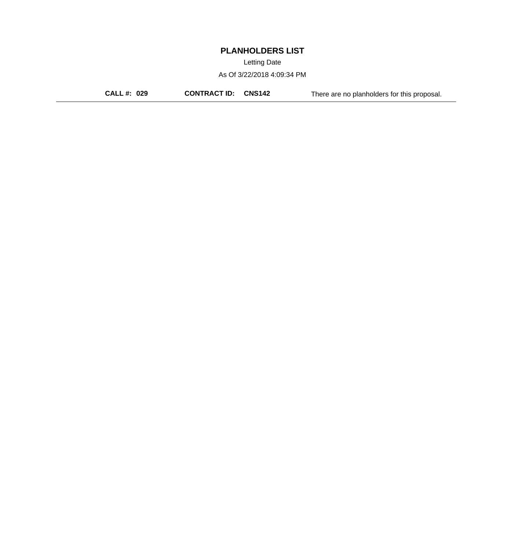Letting Date

As Of 3/22/2018 4:09:34 PM

**CALL #: 029 CONTRACT ID: CNS142** There are no planholders for this proposal.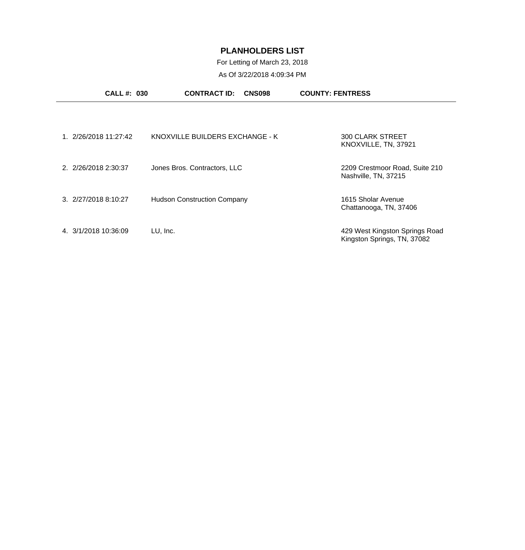# For Letting of March 23, 2018

| <b>CALL #: 030</b>               | <b>CONTRACT ID:</b><br><b>CNS098</b> | <b>COUNTY: FENTRESS</b>                                       |
|----------------------------------|--------------------------------------|---------------------------------------------------------------|
|                                  |                                      |                                                               |
| 2/26/2018 11:27:42               | KNOXVILLE BUILDERS EXCHANGE - K      | <b>300 CLARK STREET</b><br>KNOXVILLE, TN, 37921               |
| 2. 2/26/2018 2:30:37             | Jones Bros. Contractors, LLC         | 2209 Crestmoor Road, Suite 210<br>Nashville, TN, 37215        |
| $3. \ \frac{2}{27}{20188:10:27}$ | <b>Hudson Construction Company</b>   | 1615 Sholar Avenue<br>Chattanooga, TN, 37406                  |
| 4 3/1/2018 10:36:09              | LU, Inc.                             | 429 West Kingston Springs Road<br>Kingston Springs, TN, 37082 |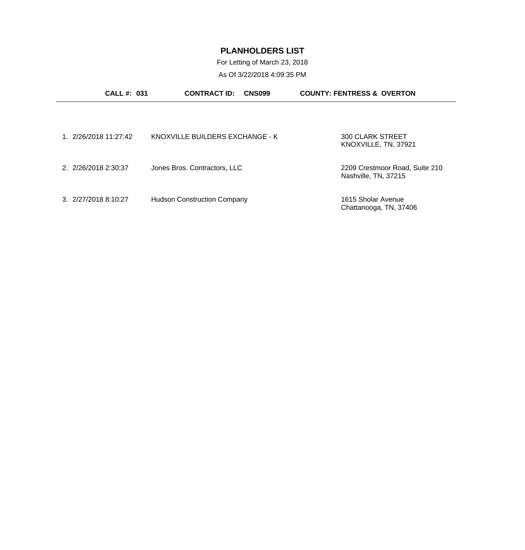For Letting of March 23, 2018 As Of 3/22/2018 4:09:35 PM

| CALL #: 031          | <b>CONTRACT ID:</b>                | <b>CNS099</b> | <b>COUNTY: FENTRESS &amp; OVERTON</b>                  |  |
|----------------------|------------------------------------|---------------|--------------------------------------------------------|--|
|                      |                                    |               |                                                        |  |
| 1 2/26/2018 11:27:42 | KNOXVILLE BUILDERS EXCHANGE - K    |               | 300 CLARK STREET<br>KNOXVILLE, TN, 37921               |  |
| 2. 2/26/2018 2:30:37 | Jones Bros. Contractors, LLC       |               | 2209 Crestmoor Road, Suite 210<br>Nashville, TN, 37215 |  |
| 3. 2/27/2018 8:10:27 | <b>Hudson Construction Company</b> |               | 1615 Sholar Avenue<br>Chattanooga, TN, 37406           |  |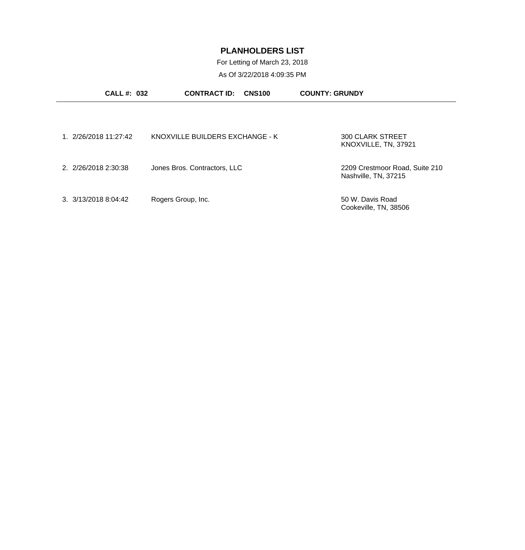For Letting of March 23, 2018

| <b>CALL #: 032</b>    | <b>CONTRACT ID:</b><br><b>CNS100</b> | <b>COUNTY: GRUNDY</b>                                  |
|-----------------------|--------------------------------------|--------------------------------------------------------|
|                       |                                      |                                                        |
| 1. 2/26/2018 11:27:42 | KNOXVILLE BUILDERS EXCHANGE - K      | <b>300 CLARK STREET</b><br>KNOXVILLE, TN, 37921        |
| 2. 2/26/2018 2:30:38  | Jones Bros. Contractors, LLC         | 2209 Crestmoor Road, Suite 210<br>Nashville, TN, 37215 |
| 3. 3/13/2018 8:04:42  | Rogers Group, Inc.                   | 50 W. Davis Road<br>Cookeville, TN, 38506              |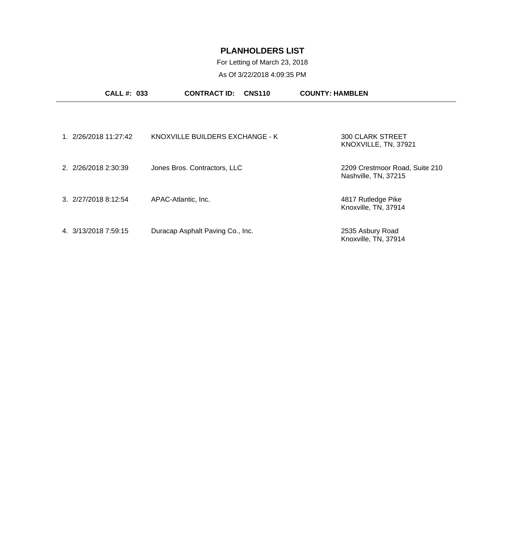# For Letting of March 23, 2018

| <b>CALL#: 033</b>                | <b>CONTRACT ID:</b>              | <b>CNS110</b> | <b>COUNTY: HAMBLEN</b>                                 |
|----------------------------------|----------------------------------|---------------|--------------------------------------------------------|
|                                  |                                  |               |                                                        |
| 1. 2/26/2018 11:27:42            | KNOXVILLE BUILDERS EXCHANGE - K  |               | <b>300 CLARK STREET</b><br>KNOXVILLE, TN, 37921        |
| 2. 2/26/2018 2:30:39             | Jones Bros. Contractors, LLC     |               | 2209 Crestmoor Road, Suite 210<br>Nashville, TN, 37215 |
| $3. \ \frac{2}{27}{20188:12:54}$ | APAC-Atlantic, Inc.              |               | 4817 Rutledge Pike<br>Knoxville, TN, 37914             |
| 4 3/13/2018 7:59:15              | Duracap Asphalt Paving Co., Inc. |               | 2535 Asbury Road<br>Knoxville, TN, 37914               |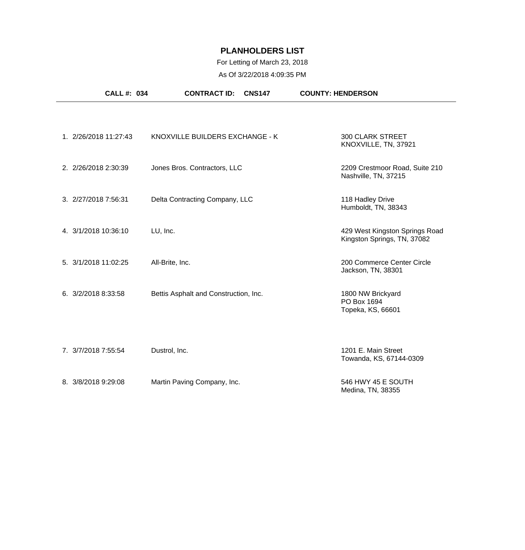# For Letting of March 23, 2018

|                                         | <b>CALL#: 034</b> | <b>CONTRACT ID:</b>                   | <b>CNS147</b> | <b>COUNTY: HENDERSON</b>                                      |
|-----------------------------------------|-------------------|---------------------------------------|---------------|---------------------------------------------------------------|
|                                         |                   |                                       |               |                                                               |
| 1. 2/26/2018 11:27:43                   |                   | KNOXVILLE BUILDERS EXCHANGE - K       |               | <b>300 CLARK STREET</b><br>KNOXVILLE, TN, 37921               |
| 2. 2/26/2018 2:30:39                    |                   | Jones Bros. Contractors, LLC          |               | 2209 Crestmoor Road, Suite 210<br>Nashville, TN, 37215        |
| 3. 2/27/2018 7:56:31                    |                   | Delta Contracting Company, LLC        |               | 118 Hadley Drive<br>Humboldt, TN, 38343                       |
| 4. 3/1/2018 10:36:10                    | LU, Inc.          |                                       |               | 429 West Kingston Springs Road<br>Kingston Springs, TN, 37082 |
| 5. 3/1/2018 11:02:25                    | All-Brite, Inc.   |                                       |               | 200 Commerce Center Circle<br>Jackson, TN, 38301              |
| $6. \ \frac{3}{2}/\frac{2018}{8}.33.58$ |                   | Bettis Asphalt and Construction, Inc. |               | 1800 NW Brickyard<br>PO Box 1694<br>Topeka, KS, 66601         |
| 7. 3/7/2018 7:55:54                     | Dustrol, Inc.     |                                       |               | 1201 E. Main Street<br>Towanda, KS, 67144-0309                |
| 8. 3/8/2018 9:29:08                     |                   | Martin Paving Company, Inc.           |               | 546 HWY 45 E SOUTH<br>Medina, TN, 38355                       |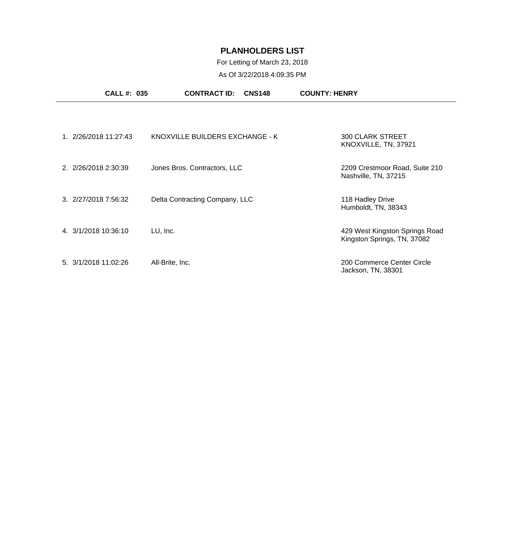### For Letting of March 23, 2018

|                      | <b>CALL #: 035</b>    | <b>CONTRACT ID:</b><br><b>CNS148</b> | <b>COUNTY: HENRY</b>                                          |
|----------------------|-----------------------|--------------------------------------|---------------------------------------------------------------|
|                      |                       |                                      |                                                               |
|                      | 1. 2/26/2018 11:27:43 | KNOXVILLE BUILDERS EXCHANGE - K      | <b>300 CLARK STREET</b><br>KNOXVILLE, TN, 37921               |
| 2. 2/26/2018 2:30:39 |                       | Jones Bros. Contractors, LLC         | 2209 Crestmoor Road, Suite 210<br>Nashville, TN, 37215        |
| 3. 2/27/2018 7:56:32 |                       | Delta Contracting Company, LLC       | 118 Hadley Drive<br>Humboldt, TN, 38343                       |
| 4. 3/1/2018 10:36:10 |                       | LU, Inc.                             | 429 West Kingston Springs Road<br>Kingston Springs, TN, 37082 |
| 5. 3/1/2018 11:02:26 |                       | All-Brite, Inc.                      | 200 Commerce Center Circle<br>Jackson, TN, 38301              |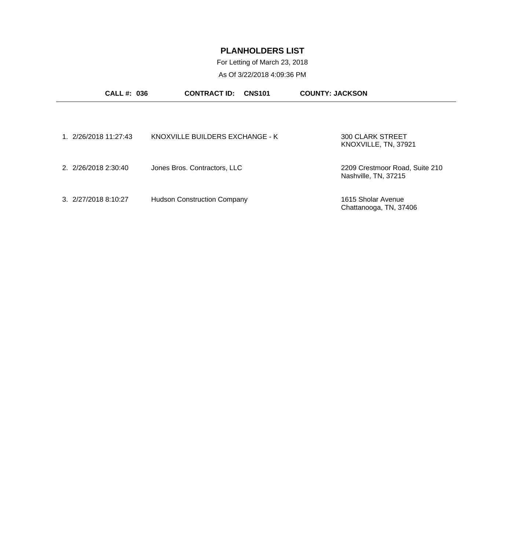For Letting of March 23, 2018

| <b>CALL #: 036</b>    | <b>CONTRACT ID:</b><br><b>CNS101</b> | <b>COUNTY: JACKSON</b>                                 |
|-----------------------|--------------------------------------|--------------------------------------------------------|
| 1. 2/26/2018 11:27:43 | KNOXVILLE BUILDERS EXCHANGE - K      | <b>300 CLARK STREET</b><br>KNOXVILLE, TN, 37921        |
| 2. 2/26/2018 2:30:40  | Jones Bros. Contractors, LLC         | 2209 Crestmoor Road, Suite 210<br>Nashville, TN, 37215 |
| 3. 2/27/2018 8:10:27  | <b>Hudson Construction Company</b>   | 1615 Sholar Avenue<br>Chattanooga, TN, 37406           |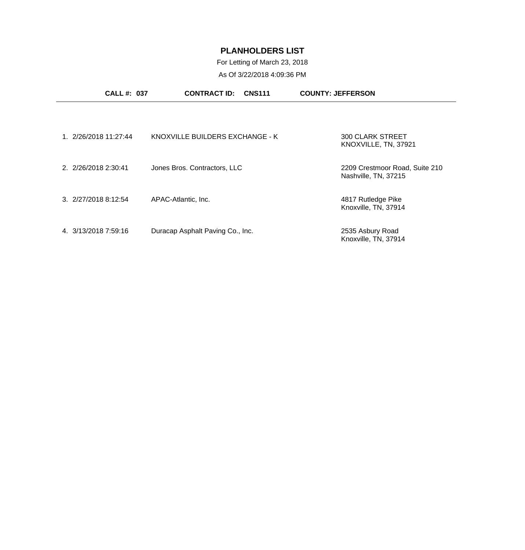# For Letting of March 23, 2018

| <b>CALL #: 037</b>               | <b>CONTRACT ID:</b>              | <b>CNS111</b> | <b>COUNTY: JEFFERSON</b>                               |
|----------------------------------|----------------------------------|---------------|--------------------------------------------------------|
|                                  |                                  |               |                                                        |
| 1. 2/26/2018 11:27:44            | KNOXVILLE BUILDERS EXCHANGE - K  |               | <b>300 CLARK STREET</b><br>KNOXVILLE, TN, 37921        |
| 2. 2/26/2018 2:30:41             | Jones Bros. Contractors, LLC     |               | 2209 Crestmoor Road, Suite 210<br>Nashville, TN, 37215 |
| $3. \ \frac{2}{27}{20188:12:54}$ | APAC-Atlantic, Inc.              |               | 4817 Rutledge Pike<br>Knoxville, TN, 37914             |
| 4. 3/13/2018 7:59:16             | Duracap Asphalt Paving Co., Inc. |               | 2535 Asbury Road<br>Knoxville, TN, 37914               |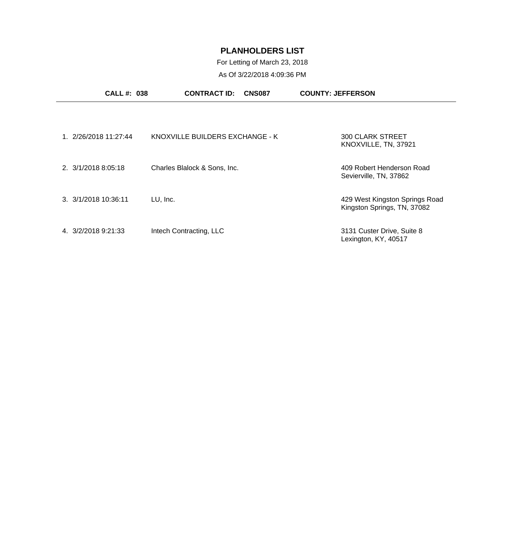## For Letting of March 23, 2018

| <b>CALL#: 038</b>              |          | <b>CONTRACT ID:</b>             | <b>CNS087</b> | <b>COUNTY: JEFFERSON</b>                                      |
|--------------------------------|----------|---------------------------------|---------------|---------------------------------------------------------------|
|                                |          |                                 |               |                                                               |
| 1. 2/26/2018 11:27:44          |          | KNOXVILLE BUILDERS EXCHANGE - K |               | <b>300 CLARK STREET</b><br>KNOXVILLE, TN, 37921               |
| 2. 3/1/2018 8:05:18            |          | Charles Blalock & Sons, Inc.    |               | 409 Robert Henderson Road<br>Sevierville, TN, 37862           |
| $3. \frac{3}{1/2018}$ 10:36:11 | LU, Inc. |                                 |               | 429 West Kingston Springs Road<br>Kingston Springs, TN, 37082 |
| 4. 3/2/2018 9:21:33            |          | Intech Contracting, LLC         |               | 3131 Custer Drive, Suite 8<br>Lexington, KY, 40517            |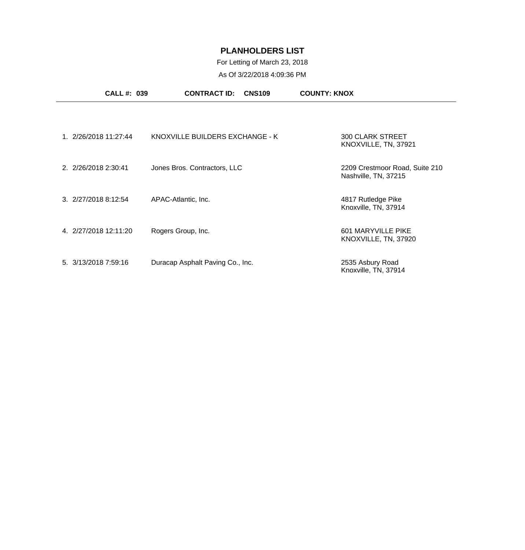#### For Letting of March 23, 2018

| <b>CALL #: 039</b>    | <b>CONTRACT ID:</b><br><b>CNS109</b> | <b>COUNTY: KNOX</b>                                    |
|-----------------------|--------------------------------------|--------------------------------------------------------|
|                       |                                      |                                                        |
| 1. 2/26/2018 11:27:44 | KNOXVILLE BUILDERS EXCHANGE - K      | <b>300 CLARK STREET</b><br>KNOXVILLE, TN, 37921        |
| 2. 2/26/2018 2:30:41  | Jones Bros. Contractors, LLC         | 2209 Crestmoor Road, Suite 210<br>Nashville, TN, 37215 |
| 3. 2/27/2018 8:12:54  | APAC-Atlantic, Inc.                  | 4817 Rutledge Pike<br>Knoxville, TN, 37914             |
| 4. 2/27/2018 12:11:20 | Rogers Group, Inc.                   | 601 MARYVILLE PIKE<br>KNOXVILLE, TN, 37920             |
| 5. 3/13/2018 7:59:16  | Duracap Asphalt Paving Co., Inc.     | 2535 Asbury Road<br>Knoxville, TN, 37914               |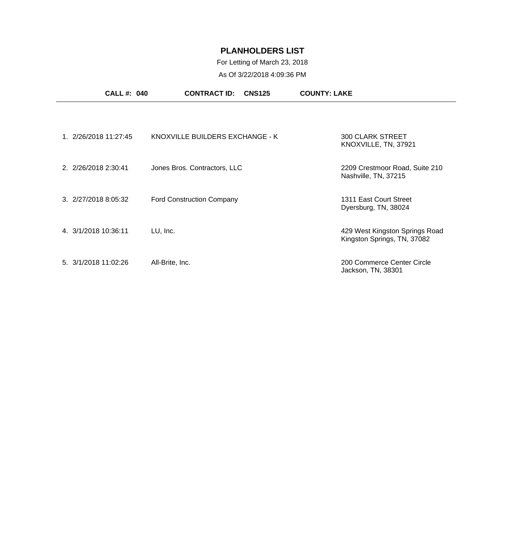### For Letting of March 23, 2018

|                      | <b>CALL #: 040</b>    | <b>CONTRACT ID:</b><br><b>CNS125</b> | <b>COUNTY: LAKE</b>                                           |
|----------------------|-----------------------|--------------------------------------|---------------------------------------------------------------|
|                      |                       |                                      |                                                               |
|                      | 1. 2/26/2018 11:27:45 | KNOXVILLE BUILDERS EXCHANGE - K      | <b>300 CLARK STREET</b><br>KNOXVILLE, TN, 37921               |
| 2. 2/26/2018 2:30:41 |                       | Jones Bros. Contractors, LLC         | 2209 Crestmoor Road, Suite 210<br>Nashville, TN, 37215        |
| 3. 2/27/2018 8:05:32 |                       | <b>Ford Construction Company</b>     | 1311 East Court Street<br>Dyersburg, TN, 38024                |
| 4. 3/1/2018 10:36:11 |                       | LU, Inc.                             | 429 West Kingston Springs Road<br>Kingston Springs, TN, 37082 |
| 5. 3/1/2018 11:02:26 |                       | All-Brite, Inc.                      | 200 Commerce Center Circle<br>Jackson, TN, 38301              |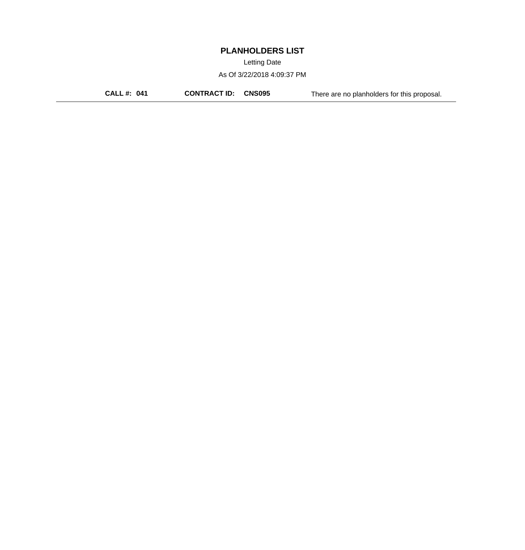Letting Date

As Of 3/22/2018 4:09:37 PM

**CALL #: 041 CONTRACT ID: CNS095** There are no planholders for this proposal.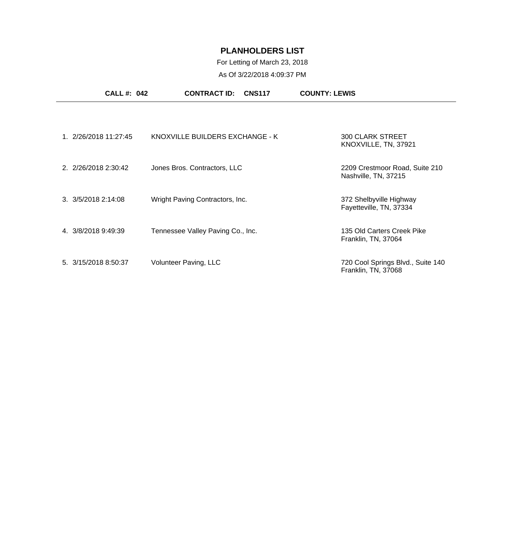## For Letting of March 23, 2018

|                              | <b>CALL #: 042</b> | <b>CONTRACT ID:</b><br><b>CNS117</b> | <b>COUNTY: LEWIS</b>                                     |  |
|------------------------------|--------------------|--------------------------------------|----------------------------------------------------------|--|
|                              |                    |                                      |                                                          |  |
| 1. 2/26/2018 11:27:45        |                    | KNOXVILLE BUILDERS EXCHANGE - K      | <b>300 CLARK STREET</b><br>KNOXVILLE, TN, 37921          |  |
| 2. 2/26/2018 2:30:42         |                    | Jones Bros. Contractors, LLC         | 2209 Crestmoor Road, Suite 210<br>Nashville, TN, 37215   |  |
| $3. \frac{3}{5}/20182:14:08$ |                    | Wright Paving Contractors, Inc.      | 372 Shelbyville Highway<br>Fayetteville, TN, 37334       |  |
| 4. 3/8/2018 9:49:39          |                    | Tennessee Valley Paving Co., Inc.    | 135 Old Carters Creek Pike<br>Franklin, TN, 37064        |  |
| 5. 3/15/2018 8:50:37         |                    | Volunteer Paving, LLC                | 720 Cool Springs Blvd., Suite 140<br>Franklin, TN, 37068 |  |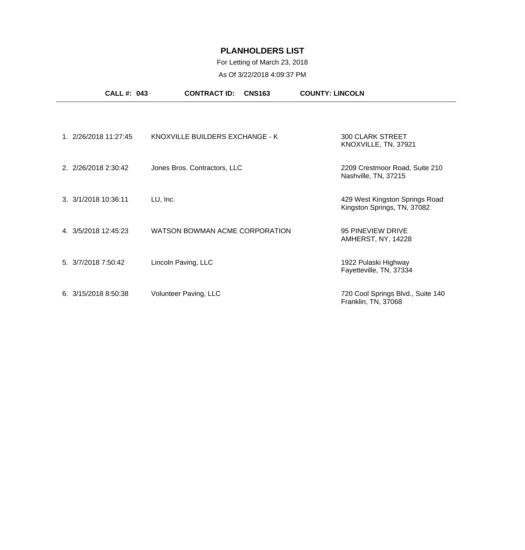### For Letting of March 23, 2018

|                          | <b>CALL #: 043</b> | <b>CONTRACT ID:</b>             | <b>CNS163</b> | <b>COUNTY: LINCOLN</b>                                        |
|--------------------------|--------------------|---------------------------------|---------------|---------------------------------------------------------------|
|                          |                    |                                 |               |                                                               |
| 1. 2/26/2018 11:27:45    |                    | KNOXVILLE BUILDERS EXCHANGE - K |               | <b>300 CLARK STREET</b><br>KNOXVILLE, TN, 37921               |
| 2. 2/26/2018 2:30:42     |                    | Jones Bros. Contractors, LLC    |               | 2209 Crestmoor Road, Suite 210<br>Nashville, TN, 37215        |
| 3. 3/1/2018 10:36:11     | LU, Inc.           |                                 |               | 429 West Kingston Springs Road<br>Kingston Springs, TN, 37082 |
| 4. 3/5/2018 12:45:23     |                    | WATSON BOWMAN ACME CORPORATION  |               | 95 PINEVIEW DRIVE<br>AMHERST, NY, 14228                       |
| 5. 3/7/2018 7:50:42      |                    | Lincoln Paving, LLC             |               | 1922 Pulaski Highway<br>Fayetteville, TN, 37334               |
| $6. \, 3/15/20188350:38$ |                    | Volunteer Paving, LLC           |               | 720 Cool Springs Blvd., Suite 140<br>Franklin, TN, 37068      |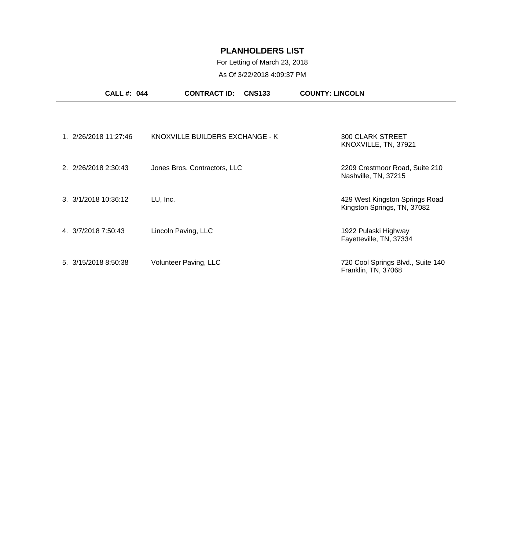### For Letting of March 23, 2018

|                       | <b>CALL #: 044</b> | <b>CNS133</b><br><b>CONTRACT ID:</b> | <b>COUNTY: LINCOLN</b>                                        |  |
|-----------------------|--------------------|--------------------------------------|---------------------------------------------------------------|--|
|                       |                    |                                      |                                                               |  |
| 1. 2/26/2018 11:27:46 |                    | KNOXVILLE BUILDERS EXCHANGE - K      | <b>300 CLARK STREET</b><br>KNOXVILLE, TN, 37921               |  |
| 2. 2/26/2018 2:30:43  |                    | Jones Bros. Contractors, LLC         | 2209 Crestmoor Road, Suite 210<br>Nashville, TN, 37215        |  |
| 3. 3/1/2018 10:36:12  |                    | LU, Inc.                             | 429 West Kingston Springs Road<br>Kingston Springs, TN, 37082 |  |
| 4. 3/7/2018 7:50:43   |                    | Lincoln Paving, LLC                  | 1922 Pulaski Highway<br>Fayetteville, TN, 37334               |  |
| 5. 3/15/2018 8:50:38  |                    | Volunteer Paving, LLC                | 720 Cool Springs Blvd., Suite 140<br>Franklin, TN, 37068      |  |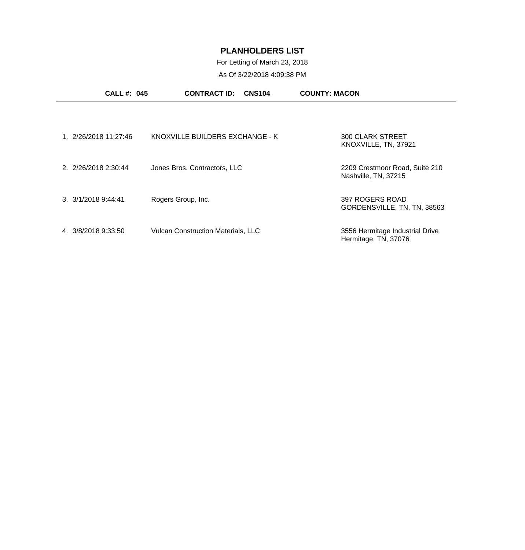### For Letting of March 23, 2018

| <b>CALL #: 045</b>            | <b>CONTRACT ID:</b><br><b>CNS104</b>      | <b>COUNTY: MACON</b>                                    |
|-------------------------------|-------------------------------------------|---------------------------------------------------------|
|                               |                                           |                                                         |
| 1. 2/26/2018 11:27:46         | KNOXVILLE BUILDERS EXCHANGE - K           | <b>300 CLARK STREET</b><br>KNOXVILLE, TN, 37921         |
| 2. 2/26/2018 2:30:44          | Jones Bros. Contractors, LLC              | 2209 Crestmoor Road, Suite 210<br>Nashville, TN, 37215  |
| $3. \frac{3}{1/2018}$ 9:44:41 | Rogers Group, Inc.                        | 397 ROGERS ROAD<br>GORDENSVILLE, TN, TN, 38563          |
| 4. 3/8/2018 9:33:50           | <b>Vulcan Construction Materials, LLC</b> | 3556 Hermitage Industrial Drive<br>Hermitage, TN, 37076 |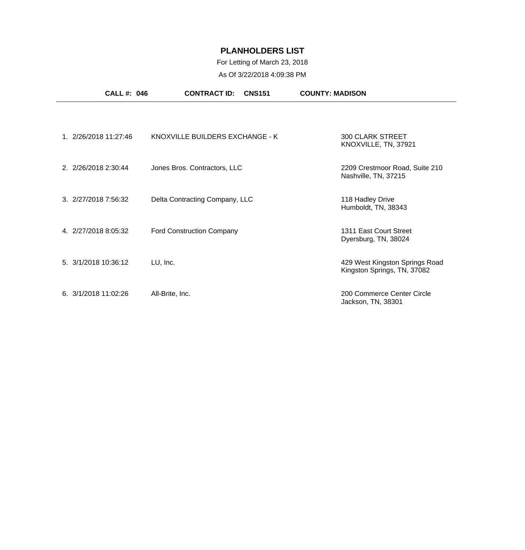## For Letting of March 23, 2018

| <b>CALL#: 046</b>     | <b>CONTRACT ID:</b><br><b>CNS151</b> | <b>COUNTY: MADISON</b>                                        |
|-----------------------|--------------------------------------|---------------------------------------------------------------|
|                       |                                      |                                                               |
| 1. 2/26/2018 11:27:46 | KNOXVILLE BUILDERS EXCHANGE - K      | <b>300 CLARK STREET</b><br>KNOXVILLE, TN, 37921               |
| 2. 2/26/2018 2:30:44  | Jones Bros. Contractors, LLC         | 2209 Crestmoor Road, Suite 210<br>Nashville, TN, 37215        |
| 3. 2/27/2018 7:56:32  | Delta Contracting Company, LLC       | 118 Hadley Drive<br>Humboldt, TN, 38343                       |
| 4. 2/27/2018 8:05:32  | <b>Ford Construction Company</b>     | 1311 East Court Street<br>Dyersburg, TN, 38024                |
| 5. 3/1/2018 10:36:12  | LU, Inc.                             | 429 West Kingston Springs Road<br>Kingston Springs, TN, 37082 |
| 6. 3/1/2018 11:02:26  | All-Brite, Inc.                      | 200 Commerce Center Circle<br>Jackson, TN, 38301              |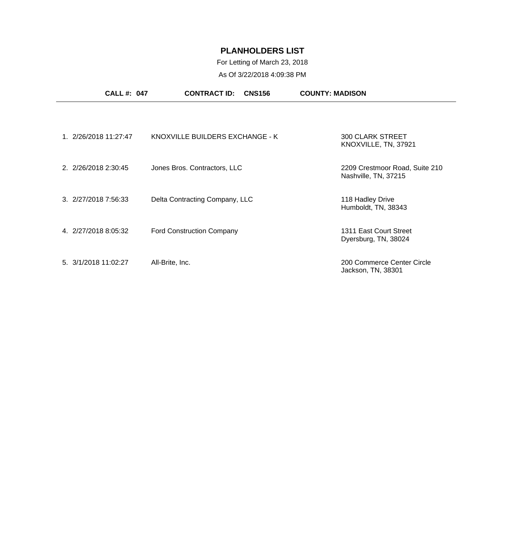## For Letting of March 23, 2018

| <b>CALL #: 047</b>             | <b>CONTRACT ID:</b><br><b>CNS156</b> | <b>COUNTY: MADISON</b>                                 |
|--------------------------------|--------------------------------------|--------------------------------------------------------|
|                                |                                      |                                                        |
| 1. 2/26/2018 11:27:47          | KNOXVILLE BUILDERS EXCHANGE - K      | <b>300 CLARK STREET</b><br>KNOXVILLE, TN, 37921        |
| 2. 2/26/2018 2:30:45           | Jones Bros. Contractors, LLC         | 2209 Crestmoor Road, Suite 210<br>Nashville, TN, 37215 |
| 3. 2/27/2018 7:56:33           | Delta Contracting Company, LLC       | 118 Hadley Drive<br>Humboldt, TN, 38343                |
| 4. 2/27/2018 8:05:32           | <b>Ford Construction Company</b>     | 1311 East Court Street<br>Dyersburg, TN, 38024         |
| $5. \frac{3}{1/2018}$ 11:02:27 | All-Brite, Inc.                      | 200 Commerce Center Circle<br>Jackson, TN, 38301       |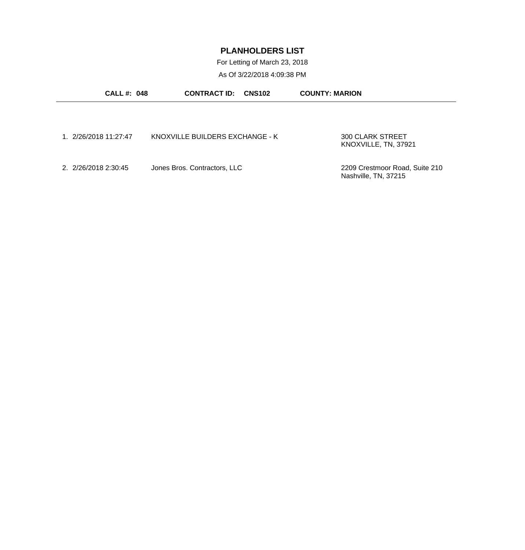For Letting of March 23, 2018

| <b>CALL #: 048</b>    | <b>CONTRACT ID: CNS102</b>      | <b>COUNTY: MARION</b>          |
|-----------------------|---------------------------------|--------------------------------|
|                       |                                 |                                |
|                       |                                 |                                |
| 1. 2/26/2018 11:27:47 | KNOXVILLE BUILDERS EXCHANGE - K | 300 CLARK STREET               |
|                       |                                 | KNOXVILLE, TN, 37921           |
| 2. 2/26/2018 2:30:45  | Jones Bros. Contractors, LLC    | 2209 Crestmoor Road, Suite 210 |
|                       |                                 | Nashville, TN, 37215           |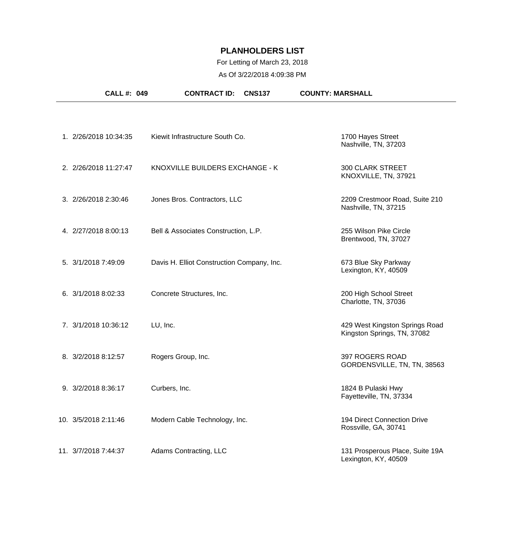## For Letting of March 23, 2018

| CALL #: 049           | <b>CONTRACT ID:</b><br><b>CNS137</b>       | <b>COUNTY: MARSHALL</b>                                       |
|-----------------------|--------------------------------------------|---------------------------------------------------------------|
|                       |                                            |                                                               |
| 1. 2/26/2018 10:34:35 | Kiewit Infrastructure South Co.            | 1700 Hayes Street<br>Nashville, TN, 37203                     |
| 2. 2/26/2018 11:27:47 | KNOXVILLE BUILDERS EXCHANGE - K            | <b>300 CLARK STREET</b><br>KNOXVILLE, TN, 37921               |
| 3. 2/26/2018 2:30:46  | Jones Bros. Contractors, LLC               | 2209 Crestmoor Road, Suite 210<br>Nashville, TN, 37215        |
| 4. 2/27/2018 8:00:13  | Bell & Associates Construction, L.P.       | 255 Wilson Pike Circle<br>Brentwood, TN, 37027                |
| 5. 3/1/2018 7:49:09   | Davis H. Elliot Construction Company, Inc. | 673 Blue Sky Parkway<br>Lexington, KY, 40509                  |
| 6. 3/1/2018 8:02:33   | Concrete Structures, Inc.                  | 200 High School Street<br>Charlotte, TN, 37036                |
| 7. 3/1/2018 10:36:12  | LU, Inc.                                   | 429 West Kingston Springs Road<br>Kingston Springs, TN, 37082 |
| 8. 3/2/2018 8:12:57   | Rogers Group, Inc.                         | 397 ROGERS ROAD<br>GORDENSVILLE, TN, TN, 38563                |
| 9. 3/2/2018 8:36:17   | Curbers, Inc.                              | 1824 B Pulaski Hwy<br>Fayetteville, TN, 37334                 |
| 10. 3/5/2018 2:11:46  | Modern Cable Technology, Inc.              | 194 Direct Connection Drive<br>Rossville, GA, 30741           |
| 11. 3/7/2018 7:44:37  | Adams Contracting, LLC                     | 131 Prosperous Place, Suite 19A<br>Lexington, KY, 40509       |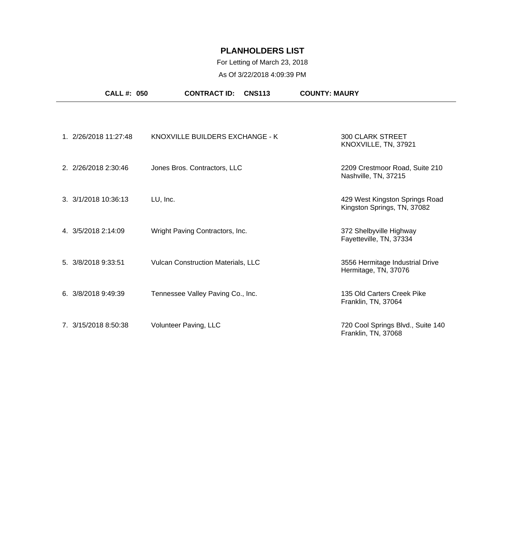### For Letting of March 23, 2018

| <b>CALL #: 050</b>    | <b>CNS113</b><br><b>CONTRACT ID:</b>      | <b>COUNTY: MAURY</b>                                          |
|-----------------------|-------------------------------------------|---------------------------------------------------------------|
|                       |                                           |                                                               |
| 1. 2/26/2018 11:27:48 | KNOXVILLE BUILDERS EXCHANGE - K           | <b>300 CLARK STREET</b><br>KNOXVILLE, TN, 37921               |
| 2. 2/26/2018 2:30:46  | Jones Bros. Contractors, LLC              | 2209 Crestmoor Road, Suite 210<br>Nashville, TN, 37215        |
| 3. 3/1/2018 10:36:13  | LU, Inc.                                  | 429 West Kingston Springs Road<br>Kingston Springs, TN, 37082 |
| 4. 3/5/2018 2:14:09   | Wright Paving Contractors, Inc.           | 372 Shelbyville Highway<br>Fayetteville, TN, 37334            |
| 5. 3/8/2018 9:33:51   | <b>Vulcan Construction Materials, LLC</b> | 3556 Hermitage Industrial Drive<br>Hermitage, TN, 37076       |
| 6.3/8/20189:49:39     | Tennessee Valley Paving Co., Inc.         | 135 Old Carters Creek Pike<br>Franklin, TN, 37064             |
| 7. 3/15/2018 8:50:38  | Volunteer Paving, LLC                     | 720 Cool Springs Blvd., Suite 140<br>Franklin, TN, 37068      |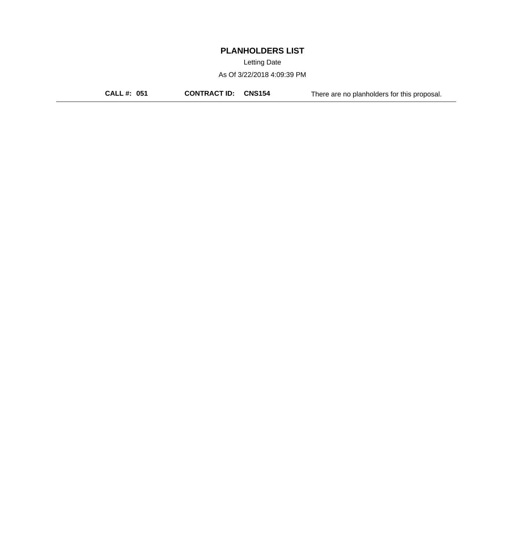Letting Date

As Of 3/22/2018 4:09:39 PM

**CALL #: 051 CONTRACT ID: CNS154** There are no planholders for this proposal.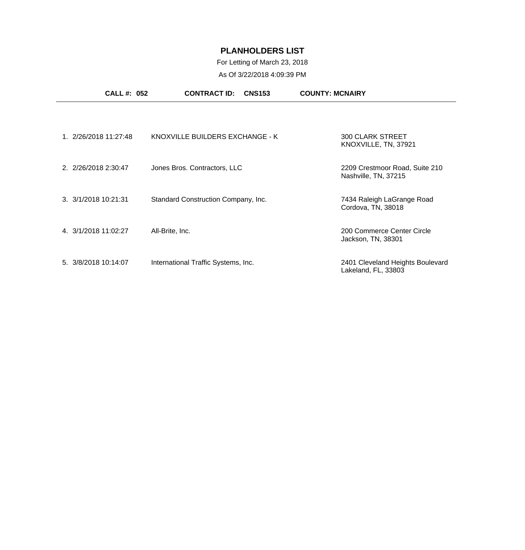## For Letting of March 23, 2018

|                      | <b>CALL #: 052</b>    | <b>CONTRACT ID:</b><br><b>CNS153</b> | <b>COUNTY: MCNAIRY</b>                                  |
|----------------------|-----------------------|--------------------------------------|---------------------------------------------------------|
|                      |                       |                                      |                                                         |
|                      | 1. 2/26/2018 11:27:48 | KNOXVILLE BUILDERS EXCHANGE - K      | <b>300 CLARK STREET</b><br>KNOXVILLE, TN, 37921         |
| 2. 2/26/2018 2:30:47 |                       | Jones Bros. Contractors, LLC         | 2209 Crestmoor Road, Suite 210<br>Nashville, TN, 37215  |
| 3. 3/1/2018 10:21:31 |                       | Standard Construction Company, Inc.  | 7434 Raleigh LaGrange Road<br>Cordova, TN, 38018        |
| 4. 3/1/2018 11:02:27 |                       | All-Brite, Inc.                      | 200 Commerce Center Circle<br>Jackson, TN, 38301        |
| 5. 3/8/2018 10:14:07 |                       | International Traffic Systems, Inc.  | 2401 Cleveland Heights Boulevard<br>Lakeland, FL, 33803 |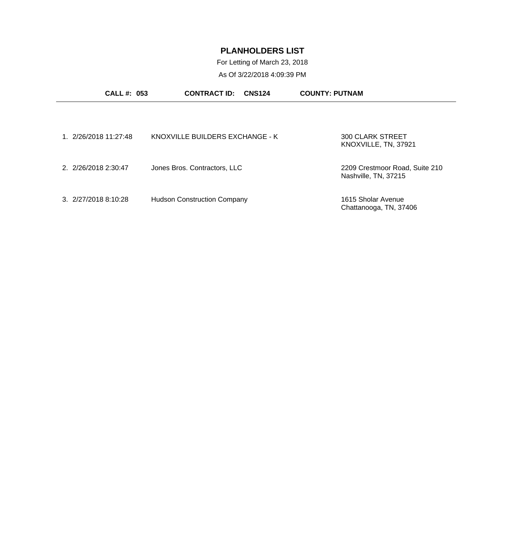For Letting of March 23, 2018

| <b>CALL #: 053</b>    | <b>CONTRACT ID:</b><br><b>CNS124</b> | <b>COUNTY: PUTNAM</b>                                  |
|-----------------------|--------------------------------------|--------------------------------------------------------|
|                       |                                      |                                                        |
| 1. 2/26/2018 11:27:48 | KNOXVILLE BUILDERS EXCHANGE - K      | 300 CLARK STREET<br>KNOXVILLE, TN, 37921               |
| 2. 2/26/2018 2:30:47  | Jones Bros. Contractors, LLC         | 2209 Crestmoor Road, Suite 210<br>Nashville, TN, 37215 |
| 3. 2/27/2018 8:10:28  | <b>Hudson Construction Company</b>   | 1615 Sholar Avenue<br>Chattanooga, TN, 37406           |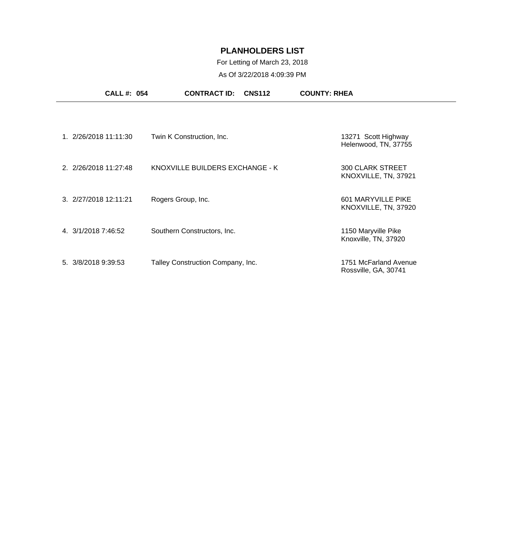#### For Letting of March 23, 2018

|                     | <b>CALL #: 054</b>    | <b>CNS112</b><br><b>CONTRACT ID:</b> | <b>COUNTY: RHEA</b>                             |
|---------------------|-----------------------|--------------------------------------|-------------------------------------------------|
|                     |                       |                                      |                                                 |
|                     | 1. 2/26/2018 11:11:30 | Twin K Construction, Inc.            | 13271 Scott Highway<br>Helenwood, TN, 37755     |
|                     | 2. 2/26/2018 11:27:48 | KNOXVILLE BUILDERS EXCHANGE - K      | <b>300 CLARK STREET</b><br>KNOXVILLE, TN, 37921 |
|                     | 3. 2/27/2018 12:11:21 | Rogers Group, Inc.                   | 601 MARYVILLE PIKE<br>KNOXVILLE, TN, 37920      |
| 4. 3/1/2018 7:46:52 |                       | Southern Constructors, Inc.          | 1150 Maryville Pike<br>Knoxville, TN, 37920     |
| 5. 3/8/2018 9:39:53 |                       | Talley Construction Company, Inc.    | 1751 McFarland Avenue<br>Rossville, GA, 30741   |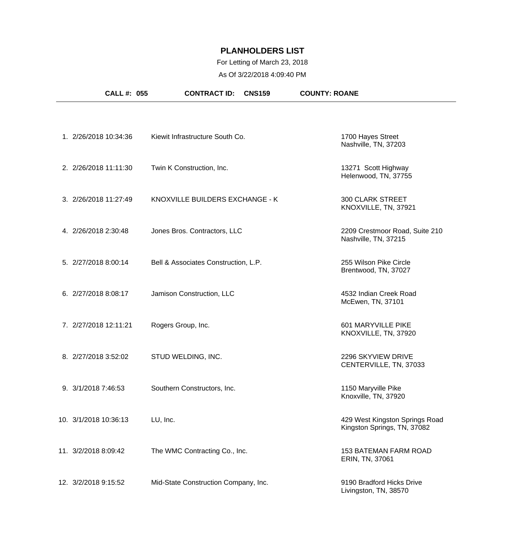#### For Letting of March 23, 2018

| <b>CALL #: 055</b>    | <b>CONTRACT ID:</b>                  | <b>CNS159</b> | <b>COUNTY: ROANE</b>                                          |
|-----------------------|--------------------------------------|---------------|---------------------------------------------------------------|
|                       |                                      |               |                                                               |
| 1. 2/26/2018 10:34:36 | Kiewit Infrastructure South Co.      |               | 1700 Hayes Street<br>Nashville, TN, 37203                     |
| 2. 2/26/2018 11:11:30 | Twin K Construction, Inc.            |               | 13271 Scott Highway<br>Helenwood, TN, 37755                   |
| 3. 2/26/2018 11:27:49 | KNOXVILLE BUILDERS EXCHANGE - K      |               | <b>300 CLARK STREET</b><br>KNOXVILLE, TN, 37921               |
| 4. 2/26/2018 2:30:48  | Jones Bros. Contractors, LLC         |               | 2209 Crestmoor Road, Suite 210<br>Nashville, TN, 37215        |
| 5. 2/27/2018 8:00:14  | Bell & Associates Construction, L.P. |               | 255 Wilson Pike Circle<br>Brentwood, TN, 37027                |
| 6. 2/27/2018 8:08:17  | Jamison Construction, LLC            |               | 4532 Indian Creek Road<br>McEwen, TN, 37101                   |
| 7. 2/27/2018 12:11:21 | Rogers Group, Inc.                   |               | 601 MARYVILLE PIKE<br>KNOXVILLE, TN, 37920                    |
| 8. 2/27/2018 3:52:02  | STUD WELDING, INC.                   |               | 2296 SKYVIEW DRIVE<br>CENTERVILLE, TN, 37033                  |
| 9. 3/1/2018 7:46:53   | Southern Constructors, Inc.          |               | 1150 Maryville Pike<br>Knoxville, TN, 37920                   |
| 10. 3/1/2018 10:36:13 | LU, Inc.                             |               | 429 West Kingston Springs Road<br>Kingston Springs, TN, 37082 |
| 11. 3/2/2018 8:09:42  | The WMC Contracting Co., Inc.        |               | <b>153 BATEMAN FARM ROAD</b><br>ERIN, TN, 37061               |
| 12. 3/2/2018 9:15:52  | Mid-State Construction Company, Inc. |               | 9190 Bradford Hicks Drive<br>Livingston, TN, 38570            |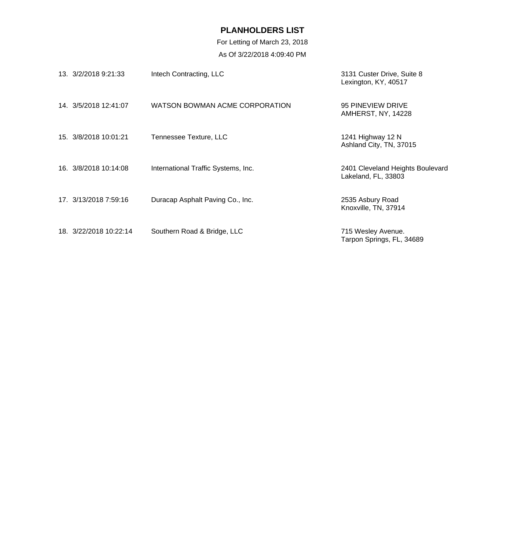For Letting of March 23, 2018 As Of 3/22/2018 4:09:40 PM

| 13. 3/2/2018 9:21:33   | Intech Contracting, LLC             | 3131 Custer Drive, Suite 8<br>Lexington, KY, 40517      |
|------------------------|-------------------------------------|---------------------------------------------------------|
| 14 3/5/2018 12:41:07   | WATSON BOWMAN ACME CORPORATION      | 95 PINEVIEW DRIVE<br>AMHERST, NY, 14228                 |
| 15. 3/8/2018 10:01:21  | Tennessee Texture, LLC              | 1241 Highway 12 N<br>Ashland City, TN, 37015            |
| 16. 3/8/2018 10:14:08  | International Traffic Systems, Inc. | 2401 Cleveland Heights Boulevard<br>Lakeland, FL, 33803 |
| 17. 3/13/2018 7:59:16  | Duracap Asphalt Paving Co., Inc.    | 2535 Asbury Road<br>Knoxville, TN, 37914                |
| 18. 3/22/2018 10:22:14 | Southern Road & Bridge, LLC         | 715 Wesley Avenue.<br>Tarpon Springs, FL, 34689         |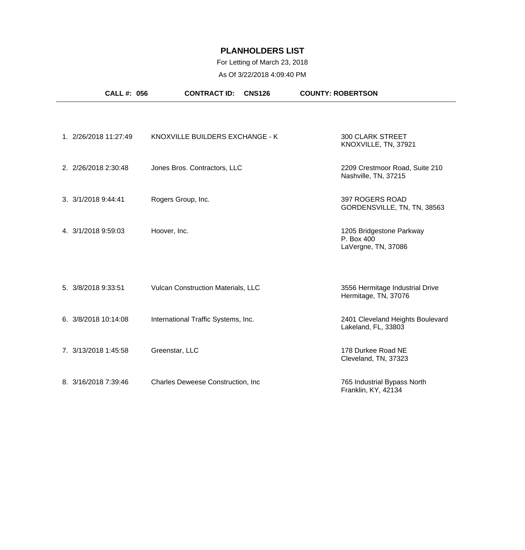# For Letting of March 23, 2018

|                      | <b>CALL #: 056</b>    | <b>CONTRACT ID:</b>                 | <b>CNS126</b> | <b>COUNTY: ROBERTSON</b>                                      |  |
|----------------------|-----------------------|-------------------------------------|---------------|---------------------------------------------------------------|--|
|                      |                       |                                     |               |                                                               |  |
|                      | 1. 2/26/2018 11:27:49 | KNOXVILLE BUILDERS EXCHANGE - K     |               | <b>300 CLARK STREET</b><br>KNOXVILLE, TN, 37921               |  |
| 2. 2/26/2018 2:30:48 |                       | Jones Bros. Contractors, LLC        |               | 2209 Crestmoor Road, Suite 210<br>Nashville, TN, 37215        |  |
| 3. 3/1/2018 9:44:41  |                       | Rogers Group, Inc.                  |               | 397 ROGERS ROAD<br>GORDENSVILLE, TN, TN, 38563                |  |
| 4. 3/1/2018 9:59:03  |                       | Hoover, Inc.                        |               | 1205 Bridgestone Parkway<br>P. Box 400<br>LaVergne, TN, 37086 |  |
| 5. 3/8/2018 9:33:51  |                       | Vulcan Construction Materials, LLC  |               | 3556 Hermitage Industrial Drive<br>Hermitage, TN, 37076       |  |
| 6. 3/8/2018 10:14:08 |                       | International Traffic Systems, Inc. |               | 2401 Cleveland Heights Boulevard<br>Lakeland, FL, 33803       |  |
| 7. 3/13/2018 1:45:58 |                       | Greenstar, LLC                      |               | 178 Durkee Road NE<br>Cleveland, TN, 37323                    |  |
| 8. 3/16/2018 7:39:46 |                       | Charles Deweese Construction, Inc   |               | 765 Industrial Bypass North<br>Franklin, KY, 42134            |  |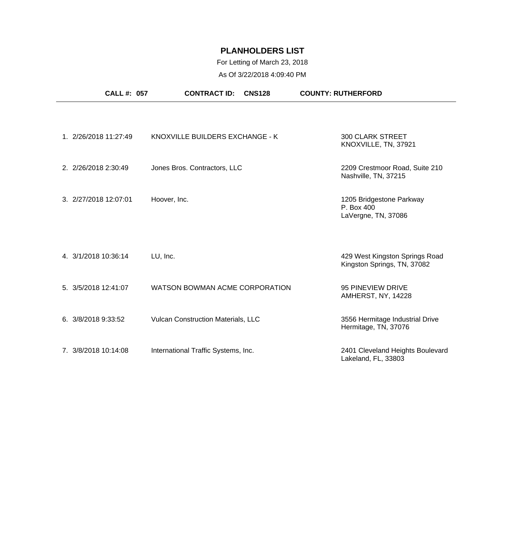## For Letting of March 23, 2018

| <b>CALL #: 057</b>    | <b>CONTRACT ID:</b>                       | <b>CNS128</b> | <b>COUNTY: RUTHERFORD</b>                                     |  |
|-----------------------|-------------------------------------------|---------------|---------------------------------------------------------------|--|
|                       |                                           |               |                                                               |  |
| 1. 2/26/2018 11:27:49 | KNOXVILLE BUILDERS EXCHANGE - K           |               | <b>300 CLARK STREET</b><br>KNOXVILLE, TN, 37921               |  |
| 2. 2/26/2018 2:30:49  | Jones Bros. Contractors, LLC              |               | 2209 Crestmoor Road, Suite 210<br>Nashville, TN, 37215        |  |
| 3. 2/27/2018 12:07:01 | Hoover, Inc.                              |               | 1205 Bridgestone Parkway<br>P. Box 400<br>LaVergne, TN, 37086 |  |
| 4. 3/1/2018 10:36:14  | LU, Inc.                                  |               | 429 West Kingston Springs Road<br>Kingston Springs, TN, 37082 |  |
| 5. 3/5/2018 12:41:07  | WATSON BOWMAN ACME CORPORATION            |               | 95 PINEVIEW DRIVE<br>AMHERST, NY, 14228                       |  |
| 6. 3/8/2018 9:33:52   | <b>Vulcan Construction Materials, LLC</b> |               | 3556 Hermitage Industrial Drive<br>Hermitage, TN, 37076       |  |
| 7. 3/8/2018 10:14:08  | International Traffic Systems, Inc.       |               | 2401 Cleveland Heights Boulevard<br>Lakeland, FL, 33803       |  |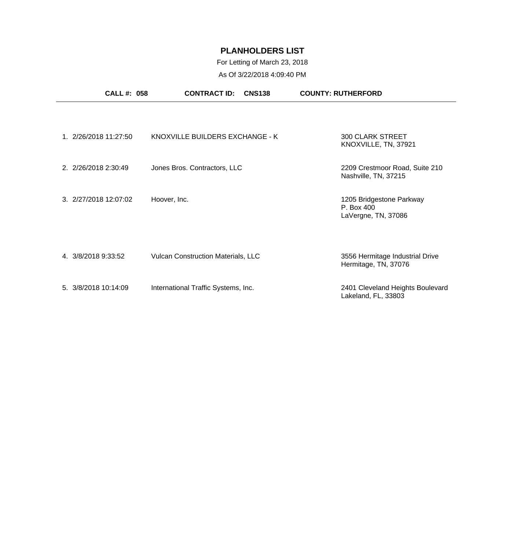## For Letting of March 23, 2018

| <b>CALL #: 058</b>    | <b>CONTRACT ID:</b><br><b>CNS138</b>      | <b>COUNTY: RUTHERFORD</b>                                     |
|-----------------------|-------------------------------------------|---------------------------------------------------------------|
|                       |                                           |                                                               |
| 1. 2/26/2018 11:27:50 | KNOXVILLE BUILDERS EXCHANGE - K           | <b>300 CLARK STREET</b><br>KNOXVILLE, TN, 37921               |
| 2. 2/26/2018 2:30:49  | Jones Bros. Contractors, LLC              | 2209 Crestmoor Road, Suite 210<br>Nashville, TN, 37215        |
| 3. 2/27/2018 12:07:02 | Hoover, Inc.                              | 1205 Bridgestone Parkway<br>P. Box 400<br>LaVergne, TN, 37086 |
| 4. 3/8/2018 9:33:52   | <b>Vulcan Construction Materials, LLC</b> | 3556 Hermitage Industrial Drive<br>Hermitage, TN, 37076       |
| 5. 3/8/2018 10:14:09  | International Traffic Systems, Inc.       | 2401 Cleveland Heights Boulevard<br>Lakeland, FL, 33803       |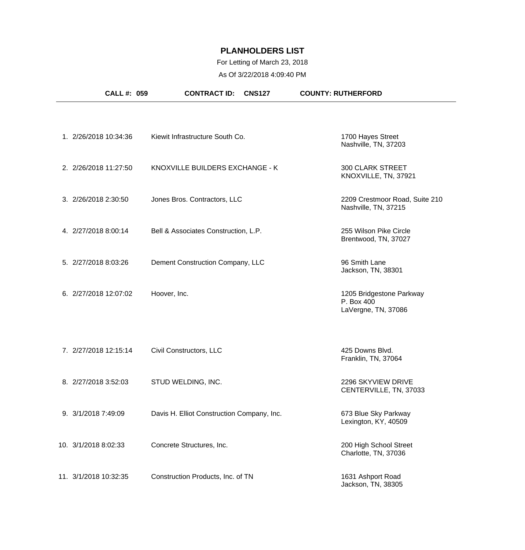#### For Letting of March 23, 2018 As Of 3/22/2018 4:09:40 PM

| CALL #: 059           | <b>CONTRACT ID:</b>                        | <b>CNS127</b> | <b>COUNTY: RUTHERFORD</b>                                     |
|-----------------------|--------------------------------------------|---------------|---------------------------------------------------------------|
|                       |                                            |               |                                                               |
| 1. 2/26/2018 10:34:36 | Kiewit Infrastructure South Co.            |               | 1700 Hayes Street<br>Nashville, TN, 37203                     |
| 2. 2/26/2018 11:27:50 | KNOXVILLE BUILDERS EXCHANGE - K            |               | <b>300 CLARK STREET</b><br>KNOXVILLE, TN, 37921               |
| 3. 2/26/2018 2:30:50  | Jones Bros. Contractors, LLC               |               | 2209 Crestmoor Road, Suite 210<br>Nashville, TN, 37215        |
| 4. 2/27/2018 8:00:14  | Bell & Associates Construction, L.P.       |               | 255 Wilson Pike Circle<br>Brentwood, TN, 37027                |
| 5. 2/27/2018 8:03:26  | Dement Construction Company, LLC           |               | 96 Smith Lane<br>Jackson, TN, 38301                           |
| 6. 2/27/2018 12:07:02 | Hoover, Inc.                               |               | 1205 Bridgestone Parkway<br>P. Box 400<br>LaVergne, TN, 37086 |
| 7. 2/27/2018 12:15:14 | Civil Constructors, LLC                    |               | 425 Downs Blvd.<br>Franklin, TN, 37064                        |
| 8. 2/27/2018 3:52:03  | STUD WELDING, INC.                         |               | 2296 SKYVIEW DRIVE<br>CENTERVILLE, TN, 37033                  |
| 9. 3/1/2018 7:49:09   | Davis H. Elliot Construction Company, Inc. |               | 673 Blue Sky Parkway<br>Lexington, KY, 40509                  |
| 10. 3/1/2018 8:02:33  | Concrete Structures, Inc.                  |               | 200 High School Street<br>Charlotte, TN, 37036                |
| 11. 3/1/2018 10:32:35 | Construction Products, Inc. of TN          |               | 1631 Ashport Road<br>Jackson, TN, 38305                       |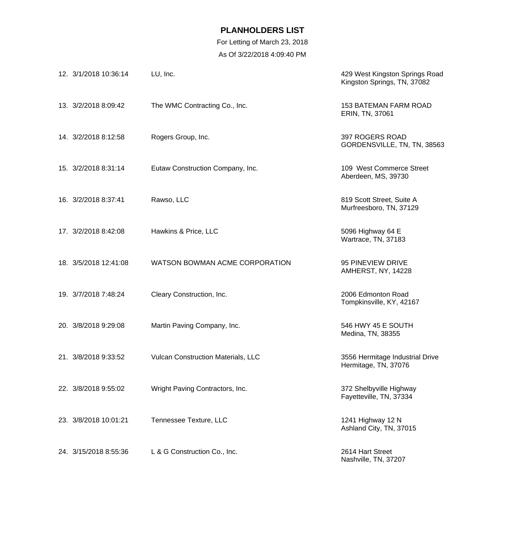For Letting of March 23, 2018

| 12. 3/1/2018 10:36:14 | LU, Inc.                           | 429 West Kingston Springs Road<br>Kingston Springs, TN, 37082 |
|-----------------------|------------------------------------|---------------------------------------------------------------|
| 13. 3/2/2018 8:09:42  | The WMC Contracting Co., Inc.      | <b>153 BATEMAN FARM ROAD</b><br>ERIN, TN, 37061               |
| 14. 3/2/2018 8:12:58  | Rogers Group, Inc.                 | 397 ROGERS ROAD<br>GORDENSVILLE, TN, TN, 38563                |
| 15. 3/2/2018 8:31:14  | Eutaw Construction Company, Inc.   | 109 West Commerce Street<br>Aberdeen, MS, 39730               |
| 16. 3/2/2018 8:37:41  | Rawso, LLC                         | 819 Scott Street, Suite A<br>Murfreesboro, TN, 37129          |
| 17. 3/2/2018 8:42:08  | Hawkins & Price, LLC               | 5096 Highway 64 E<br>Wartrace, TN, 37183                      |
| 18. 3/5/2018 12:41:08 | WATSON BOWMAN ACME CORPORATION     | 95 PINEVIEW DRIVE<br>AMHERST, NY, 14228                       |
| 19. 3/7/2018 7:48:24  | Cleary Construction, Inc.          | 2006 Edmonton Road<br>Tompkinsville, KY, 42167                |
| 20. 3/8/2018 9:29:08  | Martin Paving Company, Inc.        | 546 HWY 45 E SOUTH<br>Medina, TN, 38355                       |
| 21. 3/8/2018 9:33:52  | Vulcan Construction Materials, LLC | 3556 Hermitage Industrial Drive<br>Hermitage, TN, 37076       |
| 22. 3/8/2018 9:55:02  | Wright Paving Contractors, Inc.    | 372 Shelbyville Highway<br>Fayetteville, TN, 37334            |
| 23. 3/8/2018 10:01:21 | Tennessee Texture, LLC             | 1241 Highway 12 N<br>Ashland City, TN, 37015                  |
| 24. 3/15/2018 8:55:36 | L & G Construction Co., Inc.       | 2614 Hart Street<br>Nashville, TN, 37207                      |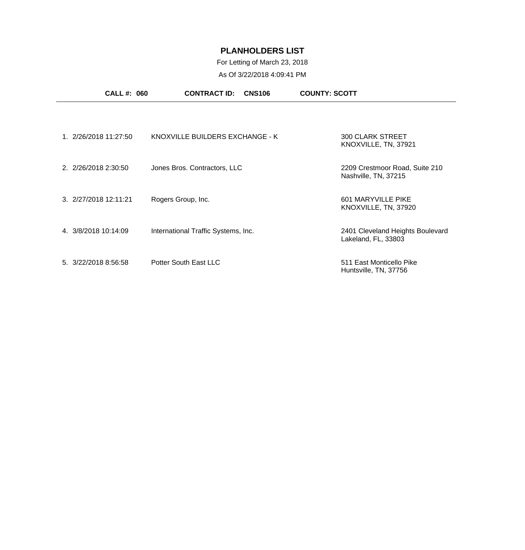### For Letting of March 23, 2018

|                       | <b>CALL #: 060</b> | <b>CONTRACT ID:</b><br><b>CNS106</b> | <b>COUNTY: SCOTT</b>                                    |  |
|-----------------------|--------------------|--------------------------------------|---------------------------------------------------------|--|
|                       |                    |                                      |                                                         |  |
| 1. 2/26/2018 11:27:50 |                    | KNOXVILLE BUILDERS EXCHANGE - K      | <b>300 CLARK STREET</b><br>KNOXVILLE, TN, 37921         |  |
| 2. 2/26/2018 2:30:50  |                    | Jones Bros. Contractors, LLC         | 2209 Crestmoor Road, Suite 210<br>Nashville, TN, 37215  |  |
| 3. 2/27/2018 12:11:21 |                    | Rogers Group, Inc.                   | 601 MARYVILLE PIKE<br>KNOXVILLE, TN, 37920              |  |
| 4. 3/8/2018 10:14:09  |                    | International Traffic Systems, Inc.  | 2401 Cleveland Heights Boulevard<br>Lakeland, FL, 33803 |  |
| 5. 3/22/2018 8:56:58  |                    | Potter South East LLC                | 511 East Monticello Pike<br>Huntsville, TN, 37756       |  |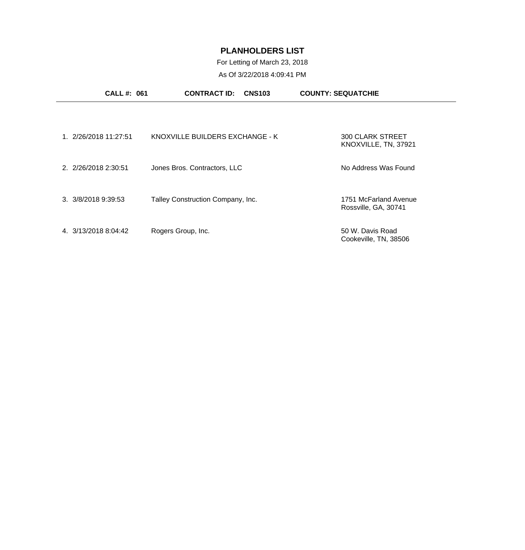# For Letting of March 23, 2018

| <b>CALL#: 061</b>            | <b>CONTRACT ID:</b>               | <b>CNS103</b> | <b>COUNTY: SEQUATCHIE</b>                     |  |
|------------------------------|-----------------------------------|---------------|-----------------------------------------------|--|
|                              |                                   |               |                                               |  |
| 1. 2/26/2018 11:27:51        | KNOXVILLE BUILDERS EXCHANGE - K   |               | 300 CLARK STREET<br>KNOXVILLE, TN, 37921      |  |
| 2. 2/26/2018 2:30:51         | Jones Bros. Contractors, LLC      |               | No Address Was Found                          |  |
| $3. \frac{3}{8}/20189:39:53$ | Talley Construction Company, Inc. |               | 1751 McFarland Avenue<br>Rossville, GA, 30741 |  |
| 4. 3/13/2018 8:04:42         | Rogers Group, Inc.                |               | 50 W. Davis Road<br>Cookeville, TN, 38506     |  |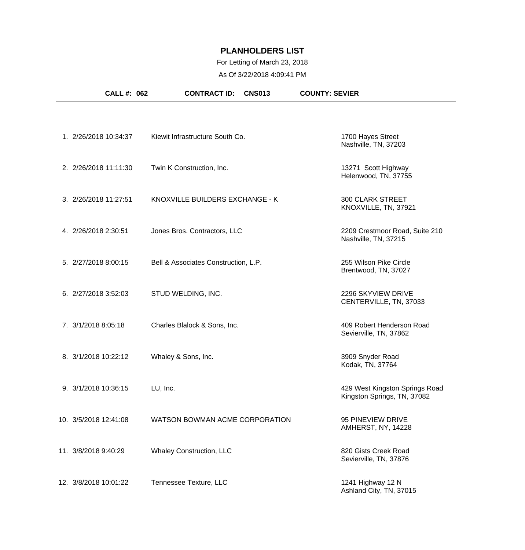#### For Letting of March 23, 2018

| CALL #: 062           | <b>CONTRACT ID:</b><br><b>CNS013</b> | <b>COUNTY: SEVIER</b>                                         |
|-----------------------|--------------------------------------|---------------------------------------------------------------|
|                       |                                      |                                                               |
| 1. 2/26/2018 10:34:37 | Kiewit Infrastructure South Co.      | 1700 Hayes Street<br>Nashville, TN, 37203                     |
| 2. 2/26/2018 11:11:30 | Twin K Construction, Inc.            | 13271 Scott Highway<br>Helenwood, TN, 37755                   |
| 3. 2/26/2018 11:27:51 | KNOXVILLE BUILDERS EXCHANGE - K      | <b>300 CLARK STREET</b><br>KNOXVILLE, TN, 37921               |
| 4. 2/26/2018 2:30:51  | Jones Bros. Contractors, LLC         | 2209 Crestmoor Road, Suite 210<br>Nashville, TN, 37215        |
| 5. 2/27/2018 8:00:15  | Bell & Associates Construction, L.P. | 255 Wilson Pike Circle<br>Brentwood, TN, 37027                |
| 6. 2/27/2018 3:52:03  | STUD WELDING, INC.                   | 2296 SKYVIEW DRIVE<br>CENTERVILLE, TN, 37033                  |
| 7. 3/1/2018 8:05:18   | Charles Blalock & Sons, Inc.         | 409 Robert Henderson Road<br>Sevierville, TN, 37862           |
| 8. 3/1/2018 10:22:12  | Whaley & Sons, Inc.                  | 3909 Snyder Road<br>Kodak, TN, 37764                          |
| 9. 3/1/2018 10:36:15  | LU, Inc.                             | 429 West Kingston Springs Road<br>Kingston Springs, TN, 37082 |
| 10. 3/5/2018 12:41:08 | WATSON BOWMAN ACME CORPORATION       | 95 PINEVIEW DRIVE<br>AMHERST, NY, 14228                       |
| 11. 3/8/2018 9:40:29  | <b>Whaley Construction, LLC</b>      | 820 Gists Creek Road<br>Sevierville, TN, 37876                |
| 12. 3/8/2018 10:01:22 | Tennessee Texture, LLC               | 1241 Highway 12 N<br>Ashland City, TN, 37015                  |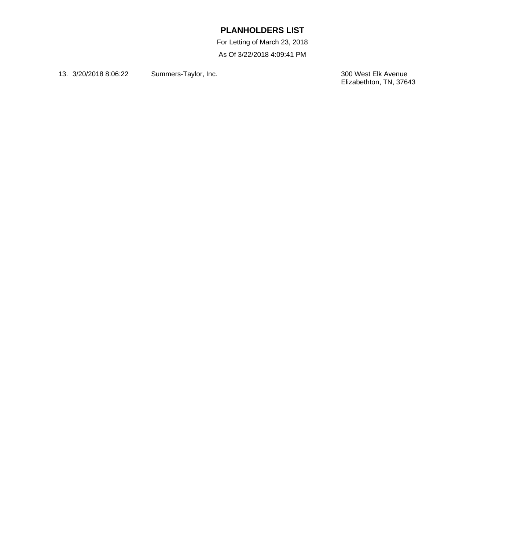For Letting of March 23, 2018

As Of 3/22/2018 4:09:41 PM

13. 3/20/2018 8:06:22 Summers-Taylor, Inc.

300 West Elk Avenue<br>Elizabethton, TN, 37643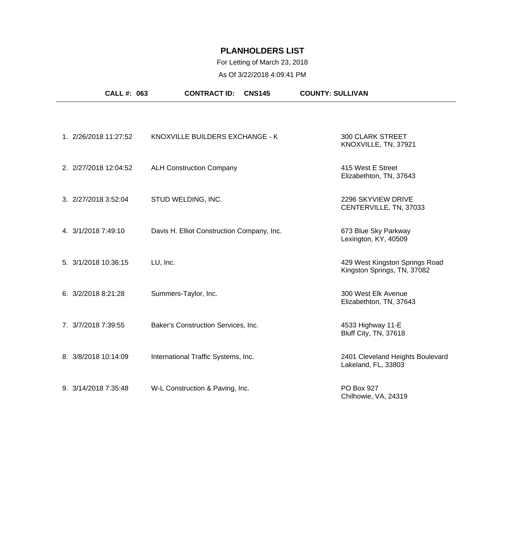### For Letting of March 23, 2018

| <b>CALL #: 063</b>    | <b>CONTRACT ID:</b><br><b>CNS145</b>       | <b>COUNTY: SULLIVAN</b>                                       |
|-----------------------|--------------------------------------------|---------------------------------------------------------------|
|                       |                                            |                                                               |
| 1. 2/26/2018 11:27:52 | KNOXVILLE BUILDERS EXCHANGE - K            | <b>300 CLARK STREET</b><br>KNOXVILLE, TN, 37921               |
| 2. 2/27/2018 12:04:52 | <b>ALH Construction Company</b>            | 415 West E Street<br>Elizabethton, TN, 37643                  |
| 3. 2/27/2018 3:52:04  | STUD WELDING, INC.                         | 2296 SKYVIEW DRIVE<br>CENTERVILLE, TN, 37033                  |
| 4. 3/1/2018 7:49:10   | Davis H. Elliot Construction Company, Inc. | 673 Blue Sky Parkway<br>Lexington, KY, 40509                  |
| 5. 3/1/2018 10:36:15  | LU, Inc.                                   | 429 West Kingston Springs Road<br>Kingston Springs, TN, 37082 |
| 6. 3/2/2018 8:21:28   | Summers-Taylor, Inc.                       | 300 West Elk Avenue<br>Elizabethton, TN, 37643                |
| 7. 3/7/2018 7:39:55   | Baker's Construction Services, Inc.        | 4533 Highway 11-E<br>Bluff City, TN, 37618                    |
| 8. 3/8/2018 10:14:09  | International Traffic Systems, Inc.        | 2401 Cleveland Heights Boulevard<br>Lakeland, FL, 33803       |
| 9. 3/14/2018 7:35:48  | W-L Construction & Paving, Inc.            | PO Box 927<br>Chilhowie, VA, 24319                            |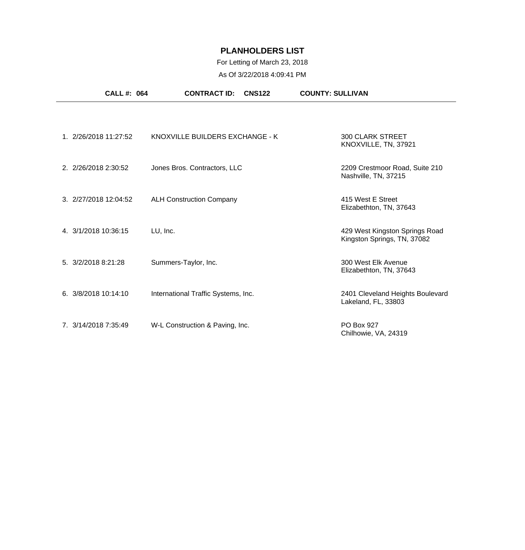### For Letting of March 23, 2018

| <b>CALL #: 064</b>    |                                 | <b>CONTRACT ID:</b><br><b>CNS122</b> | <b>COUNTY: SULLIVAN</b>                                       |
|-----------------------|---------------------------------|--------------------------------------|---------------------------------------------------------------|
|                       |                                 |                                      |                                                               |
| 1. 2/26/2018 11:27:52 |                                 | KNOXVILLE BUILDERS EXCHANGE - K      | <b>300 CLARK STREET</b><br>KNOXVILLE, TN, 37921               |
| 2. 2/26/2018 2:30:52  | Jones Bros. Contractors, LLC    |                                      | 2209 Crestmoor Road, Suite 210<br>Nashville, TN, 37215        |
| 3. 2/27/2018 12:04:52 | <b>ALH Construction Company</b> |                                      | 415 West E Street<br>Elizabethton, TN, 37643                  |
| 4. 3/1/2018 10:36:15  | LU, Inc.                        |                                      | 429 West Kingston Springs Road<br>Kingston Springs, TN, 37082 |
| 5. 3/2/2018 8:21:28   | Summers-Taylor, Inc.            |                                      | 300 West Elk Avenue<br>Elizabethton, TN, 37643                |
| 6.3/8/201810:14:10    |                                 | International Traffic Systems, Inc.  | 2401 Cleveland Heights Boulevard<br>Lakeland, FL, 33803       |
| 7. 3/14/2018 7:35:49  | W-L Construction & Paving, Inc. |                                      | PO Box 927<br>Chilhowie, VA, 24319                            |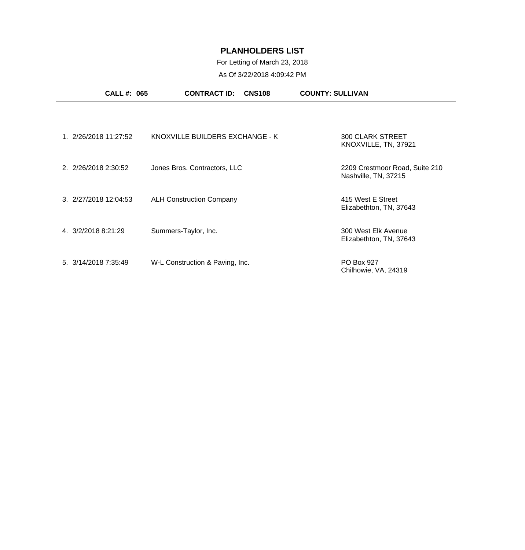### For Letting of March 23, 2018

| <b>CALL #: 065</b>    | <b>CONTRACT ID:</b><br><b>CNS108</b> | <b>COUNTY: SULLIVAN</b>                                |
|-----------------------|--------------------------------------|--------------------------------------------------------|
|                       |                                      |                                                        |
| 1. 2/26/2018 11:27:52 | KNOXVILLE BUILDERS EXCHANGE - K      | <b>300 CLARK STREET</b><br>KNOXVILLE, TN, 37921        |
| 2. 2/26/2018 2:30:52  | Jones Bros. Contractors, LLC         | 2209 Crestmoor Road, Suite 210<br>Nashville, TN, 37215 |
| 3. 2/27/2018 12:04:53 | <b>ALH Construction Company</b>      | 415 West E Street<br>Elizabethton, TN, 37643           |
| 4. 3/2/2018 8:21:29   | Summers-Taylor, Inc.                 | 300 West Elk Avenue<br>Elizabethton, TN, 37643         |
| 5. 3/14/2018 7:35:49  | W-L Construction & Paving, Inc.      | PO Box 927<br>Chilhowie, VA, 24319                     |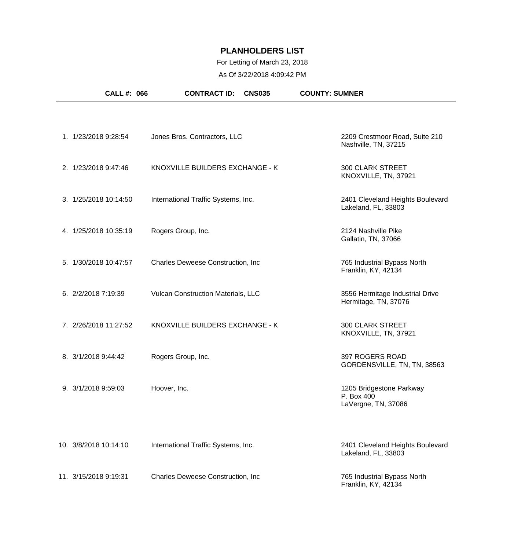### For Letting of March 23, 2018

| CALL #: 066           | <b>CONTRACT ID:</b><br><b>CNS035</b> | <b>COUNTY: SUMNER</b>                                         |
|-----------------------|--------------------------------------|---------------------------------------------------------------|
|                       |                                      |                                                               |
| 1. 1/23/2018 9:28:54  | Jones Bros. Contractors, LLC         | 2209 Crestmoor Road, Suite 210<br>Nashville, TN, 37215        |
| 2. 1/23/2018 9:47:46  | KNOXVILLE BUILDERS EXCHANGE - K      | <b>300 CLARK STREET</b><br>KNOXVILLE, TN, 37921               |
| 3. 1/25/2018 10:14:50 | International Traffic Systems, Inc.  | 2401 Cleveland Heights Boulevard<br>Lakeland, FL, 33803       |
| 4. 1/25/2018 10:35:19 | Rogers Group, Inc.                   | 2124 Nashville Pike<br>Gallatin, TN, 37066                    |
| 5. 1/30/2018 10:47:57 | Charles Deweese Construction, Inc    | 765 Industrial Bypass North<br>Franklin, KY, 42134            |
| 6. 2/2/2018 7:19:39   | Vulcan Construction Materials, LLC   | 3556 Hermitage Industrial Drive<br>Hermitage, TN, 37076       |
| 7. 2/26/2018 11:27:52 | KNOXVILLE BUILDERS EXCHANGE - K      | <b>300 CLARK STREET</b><br>KNOXVILLE, TN, 37921               |
| 8. 3/1/2018 9:44:42   | Rogers Group, Inc.                   | 397 ROGERS ROAD<br>GORDENSVILLE, TN, TN, 38563                |
| 9. 3/1/2018 9:59:03   | Hoover, Inc.                         | 1205 Bridgestone Parkway<br>P. Box 400<br>LaVergne, TN, 37086 |
| 10. 3/8/2018 10:14:10 | International Traffic Systems, Inc.  | 2401 Cleveland Heights Boulevard<br>Lakeland, FL, 33803       |
| 11. 3/15/2018 9:19:31 | Charles Deweese Construction, Inc    | 765 Industrial Bypass North<br>Franklin, KY, 42134            |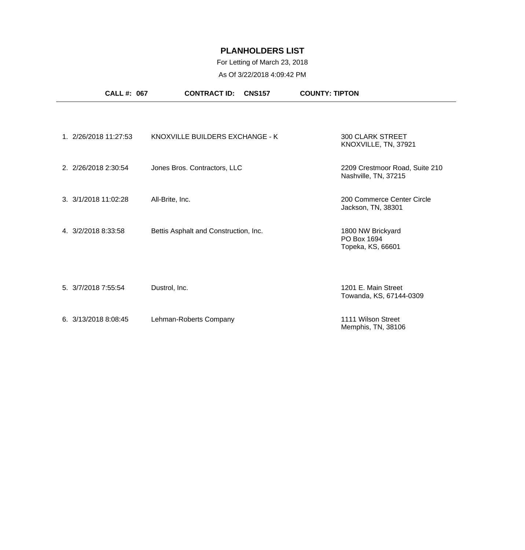### For Letting of March 23, 2018

|                      | CALL #: 067           | <b>CONTRACT ID:</b><br><b>CNS157</b>  | <b>COUNTY: TIPTON</b>                                  |
|----------------------|-----------------------|---------------------------------------|--------------------------------------------------------|
|                      |                       |                                       |                                                        |
|                      | 1. 2/26/2018 11:27:53 | KNOXVILLE BUILDERS EXCHANGE - K       | <b>300 CLARK STREET</b><br>KNOXVILLE, TN, 37921        |
| 2. 2/26/2018 2:30:54 |                       | Jones Bros. Contractors, LLC          | 2209 Crestmoor Road, Suite 210<br>Nashville, TN, 37215 |
| 3. 3/1/2018 11:02:28 |                       | All-Brite, Inc.                       | 200 Commerce Center Circle<br>Jackson, TN, 38301       |
| 4. 3/2/2018 8:33:58  |                       | Bettis Asphalt and Construction, Inc. | 1800 NW Brickyard<br>PO Box 1694<br>Topeka, KS, 66601  |
| 5. 3/7/2018 7:55:54  |                       | Dustrol, Inc.                         | 1201 E. Main Street<br>Towanda, KS, 67144-0309         |
| 6. 3/13/2018 8:08:45 |                       | Lehman-Roberts Company                | 1111 Wilson Street<br>Memphis, TN, 38106               |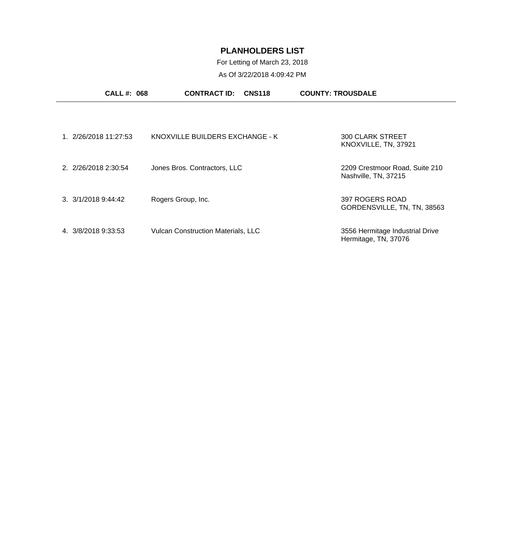# For Letting of March 23, 2018

| <b>CALL#: 068</b>             | <b>CONTRACT ID:</b><br><b>CNS118</b>      | <b>COUNTY: TROUSDALE</b>                                |
|-------------------------------|-------------------------------------------|---------------------------------------------------------|
|                               |                                           |                                                         |
| 1. 2/26/2018 11:27:53         | KNOXVILLE BUILDERS EXCHANGE - K           | <b>300 CLARK STREET</b><br>KNOXVILLE, TN, 37921         |
| 2. 2/26/2018 2:30:54          | Jones Bros. Contractors, LLC              | 2209 Crestmoor Road, Suite 210<br>Nashville, TN, 37215  |
| $3. \frac{3}{1/2018}$ 9:44:42 | Rogers Group, Inc.                        | 397 ROGERS ROAD<br>GORDENSVILLE, TN, TN, 38563          |
| 4. 3/8/2018 9:33:53           | <b>Vulcan Construction Materials, LLC</b> | 3556 Hermitage Industrial Drive<br>Hermitage, TN, 37076 |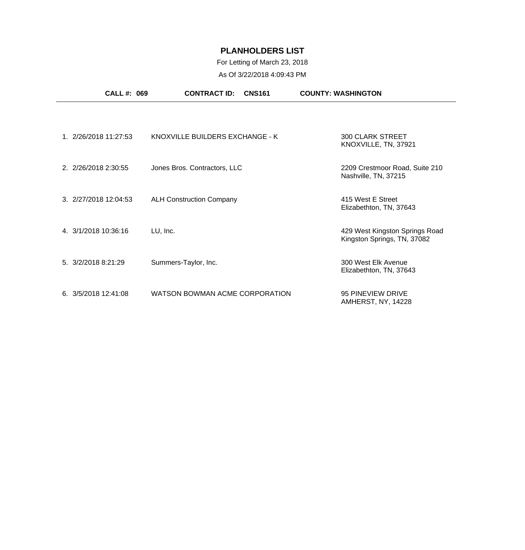# For Letting of March 23, 2018

| <b>CALL #: 069</b>    | <b>CONTRACT ID:</b><br><b>CNS161</b> | <b>COUNTY: WASHINGTON</b>                                     |
|-----------------------|--------------------------------------|---------------------------------------------------------------|
|                       |                                      |                                                               |
| 1. 2/26/2018 11:27:53 | KNOXVILLE BUILDERS EXCHANGE - K      | <b>300 CLARK STREET</b><br>KNOXVILLE, TN, 37921               |
| 2. 2/26/2018 2:30:55  | Jones Bros. Contractors, LLC         | 2209 Crestmoor Road, Suite 210<br>Nashville, TN, 37215        |
| 3. 2/27/2018 12:04:53 | <b>ALH Construction Company</b>      | 415 West E Street<br>Elizabethton, TN, 37643                  |
| 4. 3/1/2018 10:36:16  | LU, Inc.                             | 429 West Kingston Springs Road<br>Kingston Springs, TN, 37082 |
| 5. 3/2/2018 8:21:29   | Summers-Taylor, Inc.                 | 300 West Elk Avenue<br>Elizabethton, TN, 37643                |
| 6.3/5/201812:41:08    | WATSON BOWMAN ACME CORPORATION       | 95 PINEVIEW DRIVE<br>AMHERST, NY, 14228                       |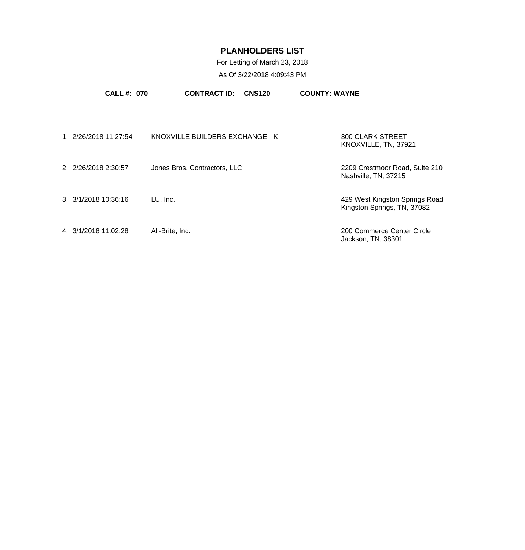### For Letting of March 23, 2018

| <b>CALL #: 070</b>             | <b>CONTRACT ID:</b>             | <b>CNS120</b> | <b>COUNTY: WAYNE</b>                                          |  |
|--------------------------------|---------------------------------|---------------|---------------------------------------------------------------|--|
|                                |                                 |               |                                                               |  |
| 1. 2/26/2018 11:27:54          | KNOXVILLE BUILDERS EXCHANGE - K |               | <b>300 CLARK STREET</b><br>KNOXVILLE, TN, 37921               |  |
| 2. 2/26/2018 2:30:57           | Jones Bros. Contractors, LLC    |               | 2209 Crestmoor Road, Suite 210<br>Nashville, TN, 37215        |  |
| $3. \frac{3}{1/2018}$ 10:36:16 | LU, Inc.                        |               | 429 West Kingston Springs Road<br>Kingston Springs, TN, 37082 |  |
| 4. 3/1/2018 11:02:28           | All-Brite, Inc.                 |               | 200 Commerce Center Circle<br>Jackson, TN, 38301              |  |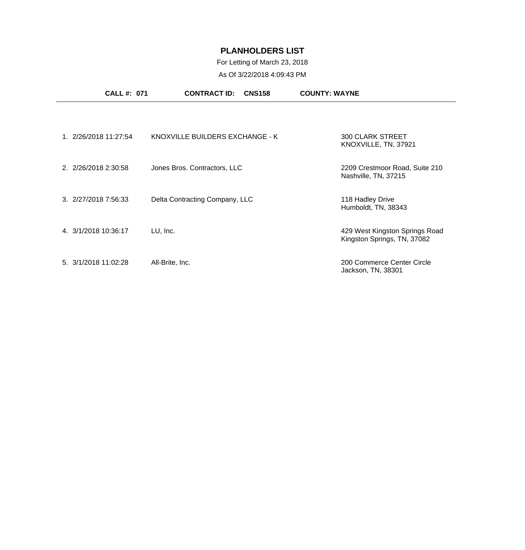### For Letting of March 23, 2018

|                      | <b>CALL #: 071</b>    | <b>CONTRACT ID:</b><br><b>CNS158</b> | <b>COUNTY: WAYNE</b>                                          |
|----------------------|-----------------------|--------------------------------------|---------------------------------------------------------------|
|                      |                       |                                      |                                                               |
|                      | 1. 2/26/2018 11:27:54 | KNOXVILLE BUILDERS EXCHANGE - K      | <b>300 CLARK STREET</b><br>KNOXVILLE, TN, 37921               |
| 2. 2/26/2018 2:30:58 |                       | Jones Bros. Contractors, LLC         | 2209 Crestmoor Road, Suite 210<br>Nashville, TN, 37215        |
| 3. 2/27/2018 7:56:33 |                       | Delta Contracting Company, LLC       | 118 Hadley Drive<br>Humboldt, TN, 38343                       |
| 4. 3/1/2018 10:36:17 |                       | LU, Inc.                             | 429 West Kingston Springs Road<br>Kingston Springs, TN, 37082 |
| 5. 3/1/2018 11:02:28 |                       | All-Brite, Inc.                      | 200 Commerce Center Circle<br>Jackson, TN, 38301              |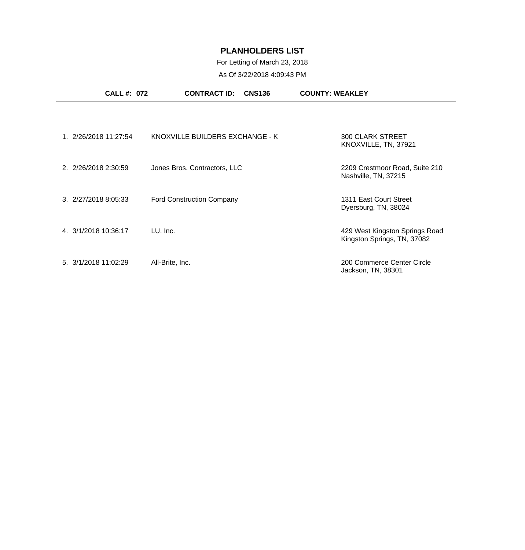## For Letting of March 23, 2018

| <b>CALL #: 072</b>               | <b>CONTRACT ID:</b>              | <b>COUNTY: WEAKLEY</b><br><b>CNS136</b> |                                                               |
|----------------------------------|----------------------------------|-----------------------------------------|---------------------------------------------------------------|
|                                  |                                  |                                         |                                                               |
| 1. 2/26/2018 11:27:54            | KNOXVILLE BUILDERS EXCHANGE - K  |                                         | <b>300 CLARK STREET</b><br>KNOXVILLE, TN, 37921               |
| 2. 2/26/2018 2:30:59             | Jones Bros. Contractors, LLC     |                                         | 2209 Crestmoor Road, Suite 210<br>Nashville, TN, 37215        |
| $3. \ \frac{2}{27}{20188:05:33}$ | <b>Ford Construction Company</b> |                                         | 1311 East Court Street<br>Dyersburg, TN, 38024                |
| 4. 3/1/2018 10:36:17             | LU, Inc.                         |                                         | 429 West Kingston Springs Road<br>Kingston Springs, TN, 37082 |
| 5. 3/1/2018 11:02:29             | All-Brite, Inc.                  |                                         | 200 Commerce Center Circle<br>Jackson, TN, 38301              |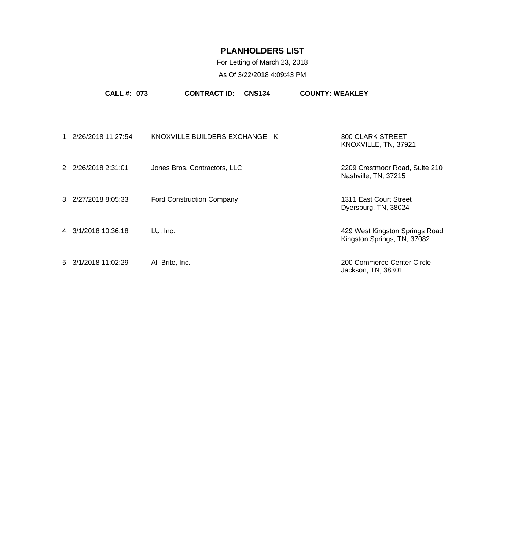### For Letting of March 23, 2018

|                                  | <b>CALL #: 073</b>    | <b>CNS134</b><br><b>CONTRACT ID:</b> | <b>COUNTY: WEAKLEY</b>                                        |
|----------------------------------|-----------------------|--------------------------------------|---------------------------------------------------------------|
|                                  |                       |                                      |                                                               |
|                                  | 1. 2/26/2018 11:27:54 | KNOXVILLE BUILDERS EXCHANGE - K      | <b>300 CLARK STREET</b><br>KNOXVILLE, TN, 37921               |
| 2. 2/26/2018 2:31:01             |                       | Jones Bros. Contractors, LLC         | 2209 Crestmoor Road, Suite 210<br>Nashville, TN, 37215        |
| $3. \ \frac{2}{27}{20188:05:33}$ |                       | <b>Ford Construction Company</b>     | 1311 East Court Street<br>Dyersburg, TN, 38024                |
| 4. 3/1/2018 10:36:18             |                       | LU, Inc.                             | 429 West Kingston Springs Road<br>Kingston Springs, TN, 37082 |
| 5. 3/1/2018 11:02:29             |                       | All-Brite, Inc.                      | 200 Commerce Center Circle<br>Jackson, TN, 38301              |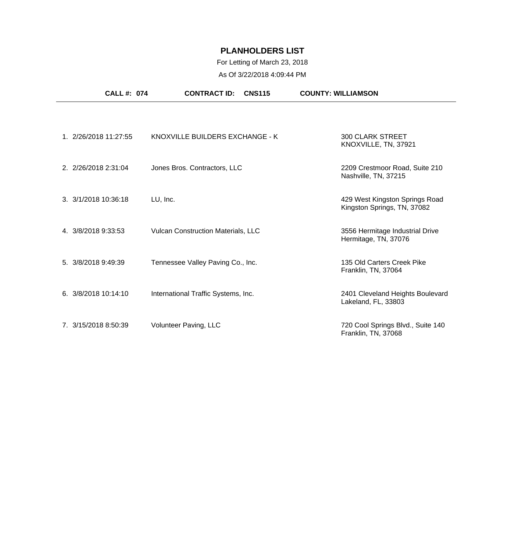# For Letting of March 23, 2018

| <b>CALL #: 074</b>             | <b>CONTRACT ID:</b><br><b>CNS115</b>      | <b>COUNTY: WILLIAMSON</b>                                     |
|--------------------------------|-------------------------------------------|---------------------------------------------------------------|
|                                |                                           |                                                               |
| 1. 2/26/2018 11:27:55          | KNOXVILLE BUILDERS EXCHANGE - K           | <b>300 CLARK STREET</b><br>KNOXVILLE, TN, 37921               |
| 2. 2/26/2018 2:31:04           | Jones Bros. Contractors, LLC              | 2209 Crestmoor Road, Suite 210<br>Nashville, TN, 37215        |
| $3. \frac{3}{1/2018}$ 10:36:18 | LU, Inc.                                  | 429 West Kingston Springs Road<br>Kingston Springs, TN, 37082 |
| 4. 3/8/2018 9:33:53            | <b>Vulcan Construction Materials, LLC</b> | 3556 Hermitage Industrial Drive<br>Hermitage, TN, 37076       |
| 5. 3/8/2018 9:49:39            | Tennessee Valley Paving Co., Inc.         | 135 Old Carters Creek Pike<br>Franklin, TN, 37064             |
| 6. 3/8/2018 10:14:10           | International Traffic Systems, Inc.       | 2401 Cleveland Heights Boulevard<br>Lakeland, FL, 33803       |
| 7. 3/15/2018 8:50:39           | Volunteer Paving, LLC                     | 720 Cool Springs Blvd., Suite 140<br>Franklin, TN, 37068      |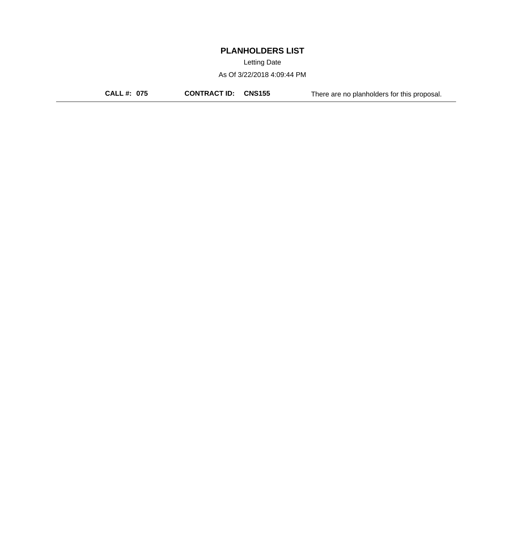Letting Date

As Of 3/22/2018 4:09:44 PM

**CALL #: 075 CONTRACT ID: CNS155** There are no planholders for this proposal.